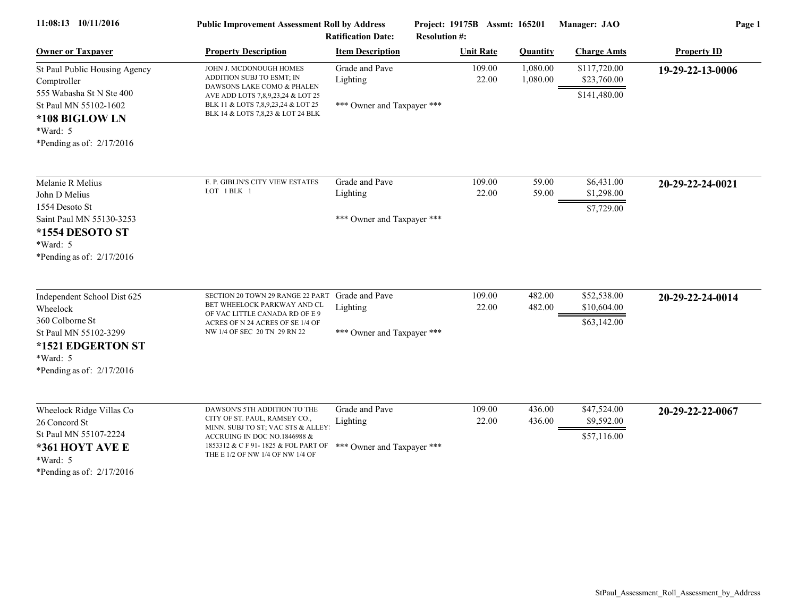| 11:08:13 10/11/2016                                                                                                                                            | <b>Public Improvement Assessment Roll by Address</b><br><b>Ratification Date:</b>                                                                                                                                                           |                                                          | Project: 19175B Assmt: 165201<br><b>Resolution #:</b> |                      | Manager: JAO                                | Page 1             |  |
|----------------------------------------------------------------------------------------------------------------------------------------------------------------|---------------------------------------------------------------------------------------------------------------------------------------------------------------------------------------------------------------------------------------------|----------------------------------------------------------|-------------------------------------------------------|----------------------|---------------------------------------------|--------------------|--|
| <b>Owner or Taxpayer</b>                                                                                                                                       | <b>Property Description</b>                                                                                                                                                                                                                 | <b>Item Description</b>                                  | <b>Unit Rate</b>                                      | <b>Quantity</b>      | <b>Charge Amts</b>                          | <b>Property ID</b> |  |
| St Paul Public Housing Agency<br>Comptroller<br>555 Wabasha St N Ste 400<br>St Paul MN 55102-1602<br>*108 BIGLOW LN<br>*Ward: 5<br>*Pending as of: $2/17/2016$ | JOHN J. MCDONOUGH HOMES<br>ADDITION SUBJ TO ESMT; IN<br>DAWSONS LAKE COMO & PHALEN<br>AVE ADD LOTS 7,8,9,23,24 & LOT 25<br>BLK 11 & LOTS 7,8,9,23,24 & LOT 25<br>BLK 14 & LOTS 7,8,23 & LOT 24 BLK                                          | Grade and Pave<br>Lighting<br>*** Owner and Taxpayer *** | 109.00<br>22.00                                       | 1,080.00<br>1,080.00 | \$117,720.00<br>\$23,760.00<br>\$141,480.00 | 19-29-22-13-0006   |  |
| Melanie R Melius<br>John D Melius<br>1554 Desoto St<br>Saint Paul MN 55130-3253<br>*1554 DESOTO ST<br>*Ward: 5<br>*Pending as of: $2/17/2016$                  | E. P. GIBLIN'S CITY VIEW ESTATES<br>LOT 1 BLK 1                                                                                                                                                                                             | Grade and Pave<br>Lighting<br>*** Owner and Taxpayer *** | 109.00<br>22.00                                       | 59.00<br>59.00       | \$6,431.00<br>\$1,298.00<br>\$7,729.00      | 20-29-22-24-0021   |  |
| Independent School Dist 625<br>Wheelock<br>360 Colborne St<br>St Paul MN 55102-3299<br>*1521 EDGERTON ST<br>*Ward: 5<br>*Pending as of: $2/17/2016$            | SECTION 20 TOWN 29 RANGE 22 PART<br>BET WHEELOCK PARKWAY AND CL<br>OF VAC LITTLE CANADA RD OF E 9<br>ACRES OF N 24 ACRES OF SE 1/4 OF<br>NW 1/4 OF SEC 20 TN 29 RN 22                                                                       | Grade and Pave<br>Lighting<br>*** Owner and Taxpayer *** | 109.00<br>22.00                                       | 482.00<br>482.00     | \$52,538.00<br>\$10,604.00<br>\$63,142.00   | 20-29-22-24-0014   |  |
| Wheelock Ridge Villas Co<br>26 Concord St<br>St Paul MN 55107-2224<br>*361 HOYT AVE E<br>*Ward: 5<br>*Pending as of: $2/17/2016$                               | DAWSON'S 5TH ADDITION TO THE<br>CITY OF ST. PAUL, RAMSEY CO.,<br>MINN. SUBJ TO ST; VAC STS & ALLEY:<br>ACCRUING IN DOC NO.1846988 $&$<br>1853312 & C F 91-1825 & FOL PART OF *** Owner and Taxpayer ***<br>THE E 1/2 OF NW 1/4 OF NW 1/4 OF | Grade and Pave<br>Lighting                               | 109.00<br>22.00                                       | 436.00<br>436.00     | \$47,524.00<br>\$9,592.00<br>\$57,116.00    | 20-29-22-22-0067   |  |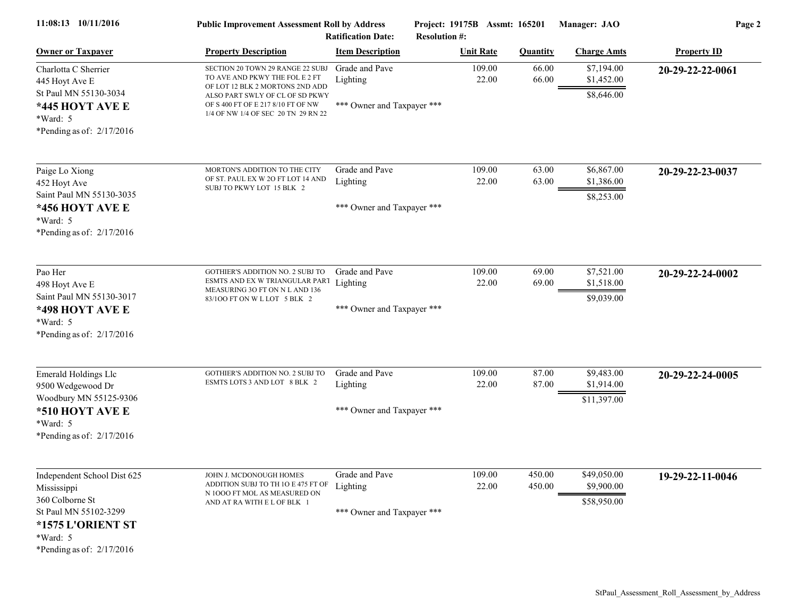| 11:08:13 10/11/2016                                                                                                                                  | <b>Public Improvement Assessment Roll by Address</b><br><b>Ratification Date:</b>                                                                                                                                     |                                                          | Project: 19175B Assmt: 165201<br><b>Resolution #:</b> |                  | Manager: JAO                             | Page 2             |  |
|------------------------------------------------------------------------------------------------------------------------------------------------------|-----------------------------------------------------------------------------------------------------------------------------------------------------------------------------------------------------------------------|----------------------------------------------------------|-------------------------------------------------------|------------------|------------------------------------------|--------------------|--|
| <b>Owner or Taxpayer</b>                                                                                                                             | <b>Property Description</b>                                                                                                                                                                                           | <b>Item Description</b>                                  | <b>Unit Rate</b>                                      | <b>Quantity</b>  | <b>Charge Amts</b>                       | <b>Property ID</b> |  |
| Charlotta C Sherrier<br>445 Hoyt Ave E<br>St Paul MN 55130-3034<br>*445 HOYT AVE E<br>*Ward: 5<br>*Pending as of: $2/17/2016$                        | SECTION 20 TOWN 29 RANGE 22 SUBJ<br>TO AVE AND PKWY THE FOL E 2 FT<br>OF LOT 12 BLK 2 MORTONS 2ND ADD<br>ALSO PART SWLY OF CL OF SD PKWY<br>OF S 400 FT OF E 217 8/10 FT OF NW<br>1/4 OF NW 1/4 OF SEC 20 TN 29 RN 22 | Grade and Pave<br>Lighting<br>*** Owner and Taxpayer *** | 109.00<br>22.00                                       | 66.00<br>66.00   | \$7,194.00<br>\$1,452.00<br>\$8,646.00   | 20-29-22-22-0061   |  |
| Paige Lo Xiong<br>452 Hoyt Ave<br>Saint Paul MN 55130-3035<br>*456 HOYT AVE E<br>*Ward: 5<br>*Pending as of: 2/17/2016                               | MORTON'S ADDITION TO THE CITY<br>OF ST. PAUL EX W 2O FT LOT 14 AND<br>SUBJ TO PKWY LOT 15 BLK 2                                                                                                                       | Grade and Pave<br>Lighting<br>*** Owner and Taxpayer *** | 109.00<br>22.00                                       | 63.00<br>63.00   | \$6,867.00<br>\$1,386.00<br>\$8,253.00   | 20-29-22-23-0037   |  |
| Pao Her<br>498 Hoyt Ave E<br>Saint Paul MN 55130-3017<br>*498 HOYT AVE E<br>*Ward: 5<br>*Pending as of: $2/17/2016$                                  | <b>GOTHIER'S ADDITION NO. 2 SUBJ TO</b><br>ESMTS AND EX W TRIANGULAR PART<br>MEASURING 3O FT ON N L AND 136<br>83/100 FT ON W L LOT 5 BLK 2                                                                           | Grade and Pave<br>Lighting<br>*** Owner and Taxpayer *** | 109.00<br>22.00                                       | 69.00<br>69.00   | \$7,521.00<br>\$1,518.00<br>\$9,039.00   | 20-29-22-24-0002   |  |
| <b>Emerald Holdings Llc</b><br>9500 Wedgewood Dr<br>Woodbury MN 55125-9306<br>*510 HOYT AVE E<br>*Ward: 5<br>*Pending as of: $2/17/2016$             | <b>GOTHIER'S ADDITION NO. 2 SUBJ TO</b><br>ESMTS LOTS 3 AND LOT 8 BLK 2                                                                                                                                               | Grade and Pave<br>Lighting<br>*** Owner and Taxpayer *** | 109.00<br>22.00                                       | 87.00<br>87.00   | \$9,483.00<br>\$1,914.00<br>\$11,397.00  | 20-29-22-24-0005   |  |
| Independent School Dist 625<br>Mississippi<br>360 Colborne St<br>St Paul MN 55102-3299<br>*1575 L'ORIENT ST<br>*Ward: 5<br>*Pending as of: 2/17/2016 | JOHN J. MCDONOUGH HOMES<br>ADDITION SUBJ TO TH 10 E 475 FT OF<br>N 1000 FT MOL AS MEASURED ON<br>AND AT RA WITH E L OF BLK 1                                                                                          | Grade and Pave<br>Lighting<br>*** Owner and Taxpayer *** | 109.00<br>22.00                                       | 450.00<br>450.00 | \$49,050.00<br>\$9,900.00<br>\$58,950.00 | 19-29-22-11-0046   |  |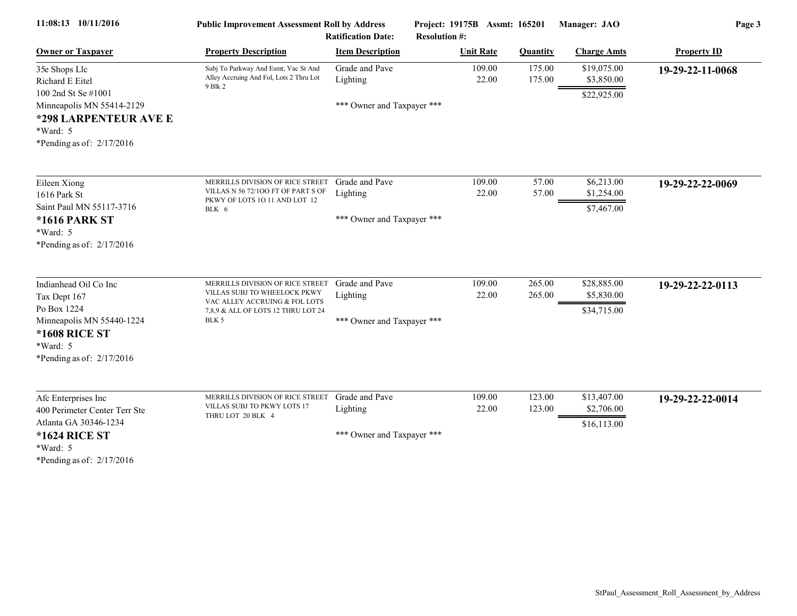| 11:08:13 10/11/2016                                                                                                                              | <b>Public Improvement Assessment Roll by Address</b><br><b>Ratification Date:</b>                                                       |                                                          | Project: 19175B Assmt: 165201<br><b>Resolution #:</b> |                  | Manager: JAO                             | Page 3             |  |
|--------------------------------------------------------------------------------------------------------------------------------------------------|-----------------------------------------------------------------------------------------------------------------------------------------|----------------------------------------------------------|-------------------------------------------------------|------------------|------------------------------------------|--------------------|--|
| <b>Owner or Taxpayer</b>                                                                                                                         | <b>Property Description</b>                                                                                                             | <b>Item Description</b>                                  | <b>Unit Rate</b>                                      | <b>Quantity</b>  | <b>Charge Amts</b>                       | <b>Property ID</b> |  |
| 35e Shops Llc<br>Richard E Eitel                                                                                                                 | Subj To Parkway And Esmt; Vac St And<br>Alley Accruing And Fol, Lots 2 Thru Lot<br>9 Blk 2                                              | Grade and Pave<br>Lighting                               | 109.00<br>22.00                                       | 175.00<br>175.00 | \$19,075.00<br>\$3,850.00                | 19-29-22-11-0068   |  |
| 100 2nd St Se #1001<br>Minneapolis MN 55414-2129<br>*298 LARPENTEUR AVE E<br>*Ward: 5<br>*Pending as of: $2/17/2016$                             |                                                                                                                                         | *** Owner and Taxpayer ***                               |                                                       |                  | \$22,925.00                              |                    |  |
| Eileen Xiong<br>1616 Park St<br>Saint Paul MN 55117-3716<br><b>*1616 PARK ST</b><br>*Ward: 5                                                     | MERRILLS DIVISION OF RICE STREET<br>VILLAS N 56 72/100 FT OF PART S OF<br>PKWY OF LOTS 10 11 AND LOT 12<br>BLK 6                        | Grade and Pave<br>Lighting<br>*** Owner and Taxpayer *** | 109.00<br>22.00                                       | 57.00<br>57.00   | \$6,213.00<br>\$1,254.00<br>\$7,467.00   | 19-29-22-22-0069   |  |
| *Pending as of: $2/17/2016$<br>Indianhead Oil Co Inc<br>Tax Dept 167<br>Po Box 1224                                                              | MERRILLS DIVISION OF RICE STREET<br>VILLAS SUBJ TO WHEELOCK PKWY<br>VAC ALLEY ACCRUING & FOL LOTS<br>7,8,9 & ALL OF LOTS 12 THRU LOT 24 | Grade and Pave<br>Lighting                               | 109.00<br>22.00                                       | 265.00<br>265.00 | \$28,885.00<br>\$5,830.00<br>\$34,715.00 | 19-29-22-22-0113   |  |
| Minneapolis MN 55440-1224<br><b>*1608 RICE ST</b><br>*Ward: 5<br>*Pending as of: $2/17/2016$                                                     | BLK 5                                                                                                                                   | *** Owner and Taxpayer ***                               |                                                       |                  |                                          |                    |  |
| Afc Enterprises Inc<br>400 Perimeter Center Terr Ste<br>Atlanta GA 30346-1234<br><b>*1624 RICE ST</b><br>*Ward: 5<br>*Pending as of: $2/17/2016$ | MERRILLS DIVISION OF RICE STREET<br>VILLAS SUBJ TO PKWY LOTS 17<br>THRU LOT 20 BLK 4                                                    | Grade and Pave<br>Lighting<br>*** Owner and Taxpayer *** | 109.00<br>22.00                                       | 123.00<br>123.00 | \$13,407.00<br>\$2,706.00<br>\$16,113.00 | 19-29-22-22-0014   |  |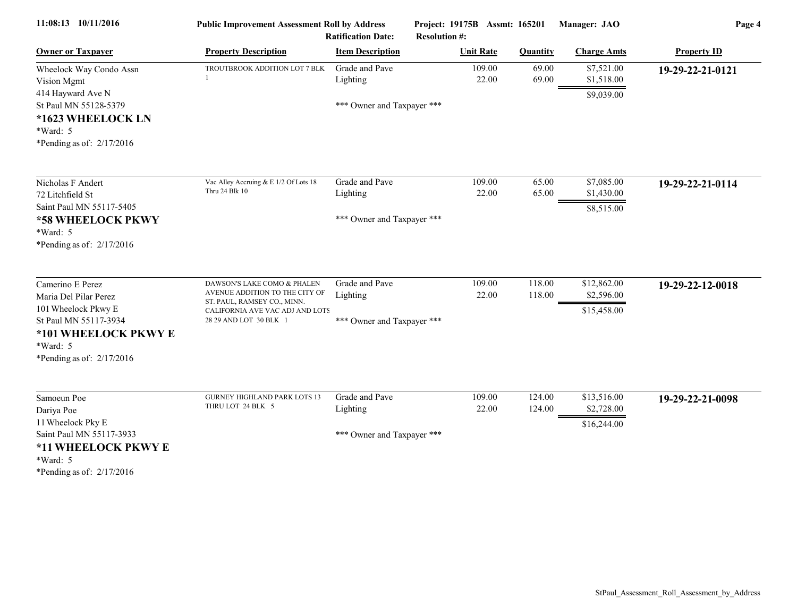| 11:08:13 10/11/2016                                                                   | <b>Public Improvement Assessment Roll by Address</b><br><b>Ratification Date:</b>        |                            | Project: 19175B Assmt: 165201<br><b>Resolution #:</b> |                  | Manager: JAO                           | Page 4             |  |
|---------------------------------------------------------------------------------------|------------------------------------------------------------------------------------------|----------------------------|-------------------------------------------------------|------------------|----------------------------------------|--------------------|--|
| <b>Owner or Taxpayer</b>                                                              | <b>Property Description</b>                                                              | <b>Item Description</b>    | <b>Unit Rate</b>                                      | <b>Quantity</b>  | <b>Charge Amts</b>                     | <b>Property ID</b> |  |
| Wheelock Way Condo Assn<br>Vision Mgmt<br>414 Hayward Ave N                           | TROUTBROOK ADDITION LOT 7 BLK                                                            | Grade and Pave<br>Lighting | 109.00<br>22.00                                       | 69.00<br>69.00   | \$7,521.00<br>\$1,518.00<br>\$9,039.00 | 19-29-22-21-0121   |  |
| St Paul MN 55128-5379<br>*1623 WHEELOCK LN<br>*Ward: 5<br>*Pending as of: $2/17/2016$ |                                                                                          | *** Owner and Taxpayer *** |                                                       |                  |                                        |                    |  |
| Nicholas F Andert<br>72 Litchfield St<br>Saint Paul MN 55117-5405                     | Vac Alley Accruing & E 1/2 Of Lots 18<br>Thru 24 Blk 10                                  | Grade and Pave<br>Lighting | 109.00<br>22.00                                       | 65.00<br>65.00   | \$7,085.00<br>\$1,430.00<br>\$8,515.00 | 19-29-22-21-0114   |  |
| *58 WHEELOCK PKWY<br>*Ward: 5<br>*Pending as of: $2/17/2016$                          |                                                                                          | *** Owner and Taxpayer *** |                                                       |                  |                                        |                    |  |
| Camerino E Perez<br>Maria Del Pilar Perez                                             | DAWSON'S LAKE COMO & PHALEN<br>AVENUE ADDITION TO THE CITY OF                            | Grade and Pave<br>Lighting | 109.00<br>22.00                                       | 118.00<br>118.00 | \$12,862.00<br>\$2,596.00              | 19-29-22-12-0018   |  |
| 101 Wheelock Pkwy E<br>St Paul MN 55117-3934                                          | ST. PAUL, RAMSEY CO., MINN.<br>CALIFORNIA AVE VAC ADJ AND LOTS<br>28 29 AND LOT 30 BLK 1 | *** Owner and Taxpayer *** |                                                       |                  | \$15,458.00                            |                    |  |
| *101 WHEELOCK PKWY E<br>*Ward: 5<br>*Pending as of: $2/17/2016$                       |                                                                                          |                            |                                                       |                  |                                        |                    |  |
| Samoeun Poe<br>Dariya Poe                                                             | <b>GURNEY HIGHLAND PARK LOTS 13</b><br>THRU LOT 24 BLK 5                                 | Grade and Pave<br>Lighting | 109.00<br>22.00                                       | 124.00<br>124.00 | \$13,516.00<br>\$2,728.00              | 19-29-22-21-0098   |  |
| 11 Wheelock Pky E<br>Saint Paul MN 55117-3933<br>*11 WHEELOCK PKWY E<br>*Ward: 5      |                                                                                          | *** Owner and Taxpayer *** |                                                       |                  | \$16,244.00                            |                    |  |
| *Pending as of: $2/17/2016$                                                           |                                                                                          |                            |                                                       |                  |                                        |                    |  |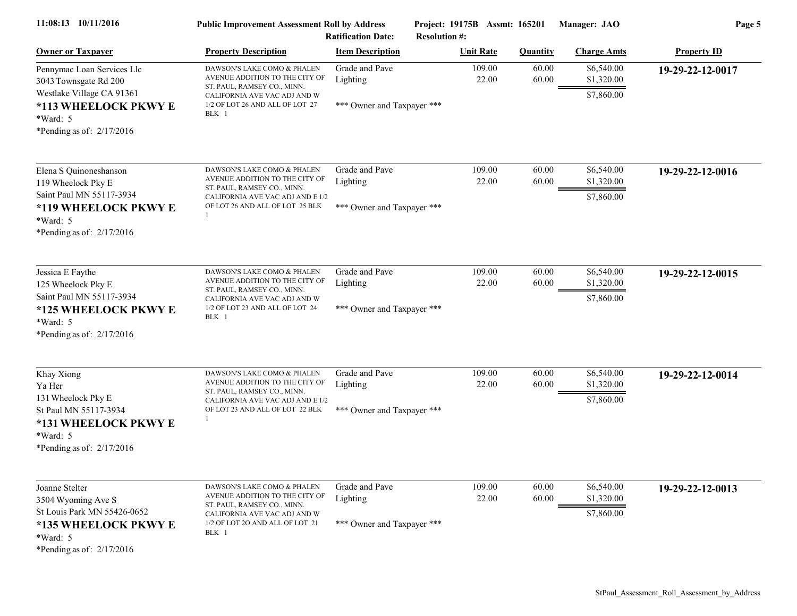| 11:08:13 10/11/2016                                                                                                                           | <b>Public Improvement Assessment Roll by Address</b><br><b>Ratification Date:</b>                                                                                        |                                                          | Project: 19175B Assmt: 165201<br><b>Resolution #:</b> |                 | Manager: JAO                           | Page 5             |  |
|-----------------------------------------------------------------------------------------------------------------------------------------------|--------------------------------------------------------------------------------------------------------------------------------------------------------------------------|----------------------------------------------------------|-------------------------------------------------------|-----------------|----------------------------------------|--------------------|--|
| <b>Owner or Taxpayer</b>                                                                                                                      | <b>Property Description</b>                                                                                                                                              | <b>Item Description</b>                                  | <b>Unit Rate</b>                                      | <b>Quantity</b> | <b>Charge Amts</b>                     | <b>Property ID</b> |  |
| Pennymac Loan Services Llc<br>3043 Townsgate Rd 200<br>Westlake Village CA 91361<br>*113 WHEELOCK PKWY E                                      | DAWSON'S LAKE COMO & PHALEN<br>AVENUE ADDITION TO THE CITY OF<br>ST. PAUL, RAMSEY CO., MINN.<br>CALIFORNIA AVE VAC ADJ AND W<br>1/2 OF LOT 26 AND ALL OF LOT 27<br>BLK 1 | Grade and Pave<br>Lighting<br>*** Owner and Taxpayer *** | 109.00<br>22.00                                       | 60.00<br>60.00  | \$6,540.00<br>\$1,320.00<br>\$7,860.00 | 19-29-22-12-0017   |  |
| *Ward: 5<br>*Pending as of: $2/17/2016$                                                                                                       |                                                                                                                                                                          |                                                          |                                                       |                 |                                        |                    |  |
| Elena S Quinoneshanson<br>119 Wheelock Pky E<br>Saint Paul MN 55117-3934<br>*119 WHEELOCK PKWY E<br>$*Ward: 5$<br>*Pending as of: $2/17/2016$ | DAWSON'S LAKE COMO & PHALEN<br>AVENUE ADDITION TO THE CITY OF<br>ST. PAUL, RAMSEY CO., MINN.<br>CALIFORNIA AVE VAC ADJ AND E 1/2<br>OF LOT 26 AND ALL OF LOT 25 BLK      | Grade and Pave<br>Lighting<br>*** Owner and Taxpayer *** | 109.00<br>22.00                                       | 60.00<br>60.00  | \$6,540.00<br>\$1,320.00<br>\$7,860.00 | 19-29-22-12-0016   |  |
| Jessica E Faythe<br>125 Wheelock Pky E<br>Saint Paul MN 55117-3934<br>*125 WHEELOCK PKWY E<br>*Ward: 5<br>*Pending as of: $2/17/2016$         | DAWSON'S LAKE COMO & PHALEN<br>AVENUE ADDITION TO THE CITY OF<br>ST. PAUL, RAMSEY CO., MINN.<br>CALIFORNIA AVE VAC ADJ AND W<br>1/2 OF LOT 23 AND ALL OF LOT 24<br>BLK 1 | Grade and Pave<br>Lighting<br>*** Owner and Taxpayer *** | 109.00<br>22.00                                       | 60.00<br>60.00  | \$6,540.00<br>\$1,320.00<br>\$7,860.00 | 19-29-22-12-0015   |  |
| Khay Xiong<br>Ya Her<br>131 Wheelock Pky E<br>St Paul MN 55117-3934<br>*131 WHEELOCK PKWY E<br>$*Ward: 5$<br>*Pending as of: $2/17/2016$      | DAWSON'S LAKE COMO & PHALEN<br>AVENUE ADDITION TO THE CITY OF<br>ST. PAUL, RAMSEY CO., MINN.<br>CALIFORNIA AVE VAC ADJ AND E 1/2<br>OF LOT 23 AND ALL OF LOT 22 BLK      | Grade and Pave<br>Lighting<br>*** Owner and Taxpayer *** | 109.00<br>22.00                                       | 60.00<br>60.00  | \$6,540.00<br>\$1,320.00<br>\$7,860.00 | 19-29-22-12-0014   |  |
| Joanne Stelter<br>3504 Wyoming Ave S<br>St Louis Park MN 55426-0652<br>*135 WHEELOCK PKWY E<br>*Ward: 5<br>*Pending as of: $2/17/2016$        | DAWSON'S LAKE COMO & PHALEN<br>AVENUE ADDITION TO THE CITY OF<br>ST. PAUL, RAMSEY CO., MINN.<br>CALIFORNIA AVE VAC ADJ AND W<br>1/2 OF LOT 20 AND ALL OF LOT 21<br>BLK 1 | Grade and Pave<br>Lighting<br>*** Owner and Taxpayer *** | 109.00<br>22.00                                       | 60.00<br>60.00  | \$6,540.00<br>\$1,320.00<br>\$7,860.00 | 19-29-22-12-0013   |  |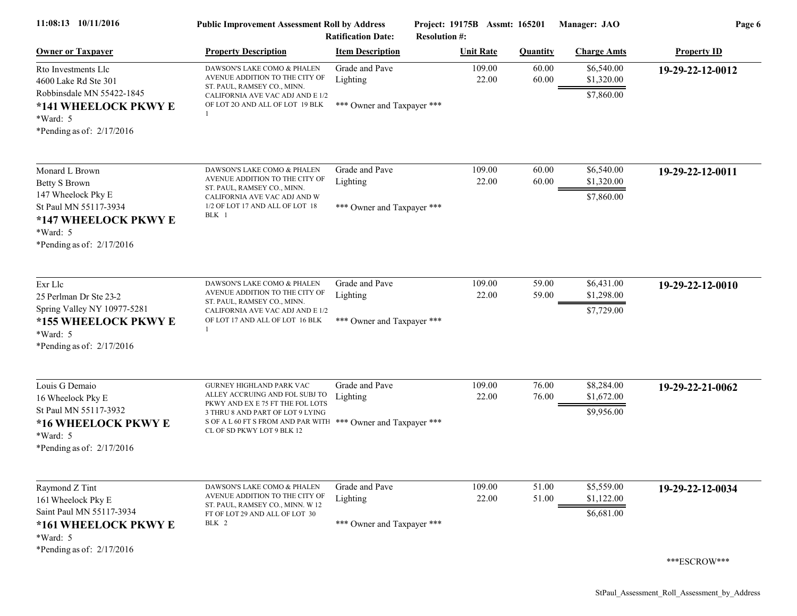| 11:08:13 10/11/2016                                                                                                              | <b>Public Improvement Assessment Roll by Address</b><br><b>Ratification Date:</b>                                                                                                                                                 |                                                          | Project: 19175B Assmt: 165201<br><b>Resolution #:</b> |                 | Manager: JAO                           | Page 6             |  |
|----------------------------------------------------------------------------------------------------------------------------------|-----------------------------------------------------------------------------------------------------------------------------------------------------------------------------------------------------------------------------------|----------------------------------------------------------|-------------------------------------------------------|-----------------|----------------------------------------|--------------------|--|
| <b>Owner or Taxpayer</b>                                                                                                         | <b>Property Description</b>                                                                                                                                                                                                       | <b>Item Description</b>                                  | <b>Unit Rate</b>                                      | <b>Quantity</b> | <b>Charge Amts</b>                     | <b>Property ID</b> |  |
| Rto Investments Llc<br>4600 Lake Rd Ste 301<br>Robbinsdale MN 55422-1845<br>*141 WHEELOCK PKWY E                                 | DAWSON'S LAKE COMO & PHALEN<br>AVENUE ADDITION TO THE CITY OF<br>ST. PAUL, RAMSEY CO., MINN.<br>CALIFORNIA AVE VAC ADJ AND E 1/2<br>OF LOT 2O AND ALL OF LOT 19 BLK                                                               | Grade and Pave<br>Lighting<br>*** Owner and Taxpayer *** | 109.00<br>22.00                                       | 60.00<br>60.00  | \$6,540.00<br>\$1,320.00<br>\$7,860.00 | 19-29-22-12-0012   |  |
| *Ward: 5<br>*Pending as of: $2/17/2016$                                                                                          |                                                                                                                                                                                                                                   |                                                          |                                                       |                 |                                        |                    |  |
| Monard L Brown<br><b>Betty S Brown</b><br>147 Wheelock Pky E<br>St Paul MN 55117-3934                                            | DAWSON'S LAKE COMO & PHALEN<br>AVENUE ADDITION TO THE CITY OF<br>ST. PAUL, RAMSEY CO., MINN.<br>CALIFORNIA AVE VAC ADJ AND W<br>1/2 OF LOT 17 AND ALL OF LOT 18<br>BLK 1                                                          | Grade and Pave<br>Lighting<br>*** Owner and Taxpayer *** | 109.00<br>22.00                                       | 60.00<br>60.00  | \$6,540.00<br>\$1,320.00<br>\$7,860.00 | 19-29-22-12-0011   |  |
| *147 WHEELOCK PKWY E<br>*Ward: 5<br>*Pending as of: $2/17/2016$                                                                  |                                                                                                                                                                                                                                   |                                                          |                                                       |                 |                                        |                    |  |
| Exr Llc<br>25 Perlman Dr Ste 23-2<br>Spring Valley NY 10977-5281<br>*155 WHEELOCK PKWY E<br>$*Ward: 5$                           | DAWSON'S LAKE COMO & PHALEN<br>AVENUE ADDITION TO THE CITY OF<br>ST. PAUL, RAMSEY CO., MINN.<br>CALIFORNIA AVE VAC ADJ AND E 1/2<br>OF LOT 17 AND ALL OF LOT 16 BLK                                                               | Grade and Pave<br>Lighting<br>*** Owner and Taxpayer *** | 109.00<br>22.00                                       | 59.00<br>59.00  | \$6,431.00<br>\$1,298.00<br>\$7,729.00 | 19-29-22-12-0010   |  |
| *Pending as of: $2/17/2016$                                                                                                      |                                                                                                                                                                                                                                   |                                                          |                                                       |                 |                                        |                    |  |
| Louis G Demaio<br>16 Wheelock Pky E<br>St Paul MN 55117-3932<br>*16 WHEELOCK PKWY E<br>$*Ward: 5$<br>*Pending as of: $2/17/2016$ | GURNEY HIGHLAND PARK VAC<br>ALLEY ACCRUING AND FOL SUBJ TO<br>PKWY AND EX E 75 FT THE FOL LOTS<br>3 THRU 8 AND PART OF LOT 9 LYING<br>S OF A L 60 FT S FROM AND PAR WITH *** Owner and Taxpayer ***<br>CL OF SD PKWY LOT 9 BLK 12 | Grade and Pave<br>Lighting                               | 109.00<br>22.00                                       | 76.00<br>76.00  | \$8,284.00<br>\$1,672.00<br>\$9,956.00 | 19-29-22-21-0062   |  |
| Raymond Z Tint<br>161 Wheelock Pky E<br>Saint Paul MN 55117-3934<br>*161 WHEELOCK PKWY E<br>*Ward: 5                             | DAWSON'S LAKE COMO & PHALEN<br>AVENUE ADDITION TO THE CITY OF<br>ST. PAUL, RAMSEY CO., MINN. W 12<br>FT OF LOT 29 AND ALL OF LOT 30<br>BLK 2                                                                                      | Grade and Pave<br>Lighting<br>*** Owner and Taxpayer *** | 109.00<br>22.00                                       | 51.00<br>51.00  | \$5,559.00<br>\$1,122.00<br>\$6,681.00 | 19-29-22-12-0034   |  |
| *Pending as of: $2/17/2016$                                                                                                      |                                                                                                                                                                                                                                   |                                                          |                                                       |                 |                                        | ***ESCROW***       |  |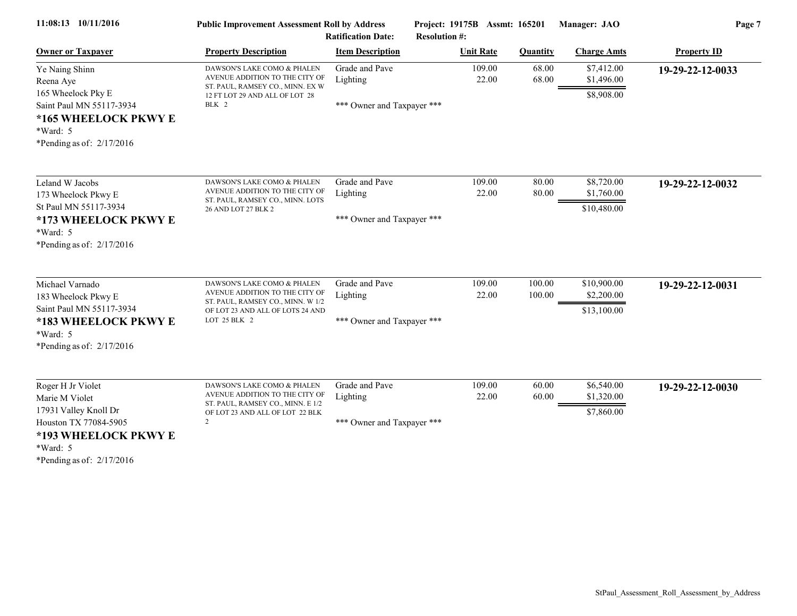| 11:08:13 10/11/2016                                                                                                                                      | <b>Public Improvement Assessment Roll by Address</b><br><b>Ratification Date:</b>                                                                      |                                                          | Project: 19175B Assmt: 165201<br><b>Resolution #:</b> |                  | Manager: JAO                             | Page 7             |  |
|----------------------------------------------------------------------------------------------------------------------------------------------------------|--------------------------------------------------------------------------------------------------------------------------------------------------------|----------------------------------------------------------|-------------------------------------------------------|------------------|------------------------------------------|--------------------|--|
| <b>Owner or Taxpayer</b>                                                                                                                                 | <b>Property Description</b>                                                                                                                            | <b>Item Description</b>                                  | <b>Unit Rate</b>                                      | <b>Quantity</b>  | <b>Charge Amts</b>                       | <b>Property ID</b> |  |
| Ye Naing Shinn<br>Reena Aye<br>165 Wheelock Pky E<br>Saint Paul MN 55117-3934<br>*165 WHEELOCK PKWY E<br>*Ward: 5<br>*Pending as of: $2/17/2016$         | DAWSON'S LAKE COMO & PHALEN<br>AVENUE ADDITION TO THE CITY OF<br>ST. PAUL, RAMSEY CO., MINN. EX W<br>12 FT LOT 29 AND ALL OF LOT 28<br>BLK 2           | Grade and Pave<br>Lighting<br>*** Owner and Taxpayer *** | 109.00<br>22.00                                       | 68.00<br>68.00   | \$7,412.00<br>\$1,496.00<br>\$8,908.00   | 19-29-22-12-0033   |  |
| Leland W Jacobs<br>173 Wheelock Pkwy E<br>St Paul MN 55117-3934<br>*173 WHEELOCK PKWY E<br>*Ward: 5<br>*Pending as of: $2/17/2016$                       | DAWSON'S LAKE COMO & PHALEN<br>AVENUE ADDITION TO THE CITY OF<br>ST. PAUL, RAMSEY CO., MINN. LOTS<br>26 AND LOT 27 BLK 2                               | Grade and Pave<br>Lighting<br>*** Owner and Taxpayer *** | 109.00<br>22.00                                       | 80.00<br>80.00   | \$8,720.00<br>\$1,760.00<br>\$10,480.00  | 19-29-22-12-0032   |  |
| Michael Varnado<br>183 Wheelock Pkwy E<br>Saint Paul MN 55117-3934<br>*183 WHEELOCK PKWY E<br>*Ward: 5<br>*Pending as of: $2/17/2016$                    | DAWSON'S LAKE COMO & PHALEN<br>AVENUE ADDITION TO THE CITY OF<br>ST. PAUL, RAMSEY CO., MINN. W 1/2<br>OF LOT 23 AND ALL OF LOTS 24 AND<br>LOT 25 BLK 2 | Grade and Pave<br>Lighting<br>*** Owner and Taxpayer *** | 109.00<br>22.00                                       | 100.00<br>100.00 | \$10,900.00<br>\$2,200.00<br>\$13,100.00 | 19-29-22-12-0031   |  |
| Roger H Jr Violet<br>Marie M Violet<br>17931 Valley Knoll Dr<br>Houston TX 77084-5905<br>*193 WHEELOCK PKWY E<br>*Ward: 5<br>*Pending as of: $2/17/2016$ | DAWSON'S LAKE COMO & PHALEN<br>AVENUE ADDITION TO THE CITY OF<br>ST. PAUL, RAMSEY CO., MINN. E 1/2<br>OF LOT 23 AND ALL OF LOT 22 BLK<br>2             | Grade and Pave<br>Lighting<br>*** Owner and Taxpayer *** | 109.00<br>22.00                                       | 60.00<br>60.00   | \$6,540.00<br>\$1,320.00<br>\$7,860.00   | 19-29-22-12-0030   |  |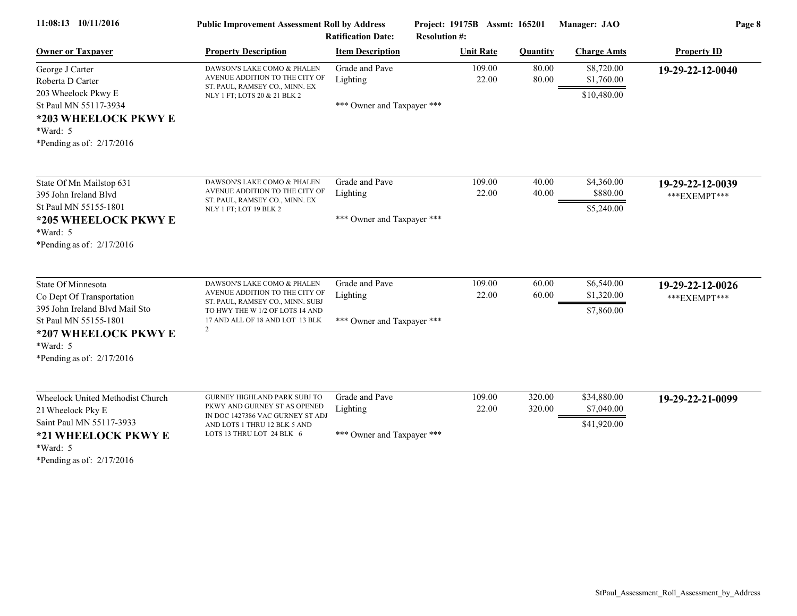| 11:08:13 10/11/2016                                                                                                                                                           | <b>Public Improvement Assessment Roll by Address</b><br><b>Ratification Date:</b>                                                                                                         |                                                          | Project: 19175B Assmt: 165201<br><b>Resolution #:</b> |                  | Manager: JAO                             | Page 8                            |  |
|-------------------------------------------------------------------------------------------------------------------------------------------------------------------------------|-------------------------------------------------------------------------------------------------------------------------------------------------------------------------------------------|----------------------------------------------------------|-------------------------------------------------------|------------------|------------------------------------------|-----------------------------------|--|
| <b>Owner or Taxpayer</b>                                                                                                                                                      | <b>Property Description</b>                                                                                                                                                               | <b>Item Description</b>                                  | <b>Unit Rate</b>                                      | <b>Quantity</b>  | <b>Charge Amts</b>                       | <b>Property ID</b>                |  |
| George J Carter<br>Roberta D Carter<br>203 Wheelock Pkwy E<br>St Paul MN 55117-3934<br>*203 WHEELOCK PKWY E<br>*Ward: 5<br>*Pending as of: $2/17/2016$                        | DAWSON'S LAKE COMO & PHALEN<br>AVENUE ADDITION TO THE CITY OF<br>ST. PAUL, RAMSEY CO., MINN. EX<br>NLY 1 FT; LOTS 20 & 21 BLK 2                                                           | Grade and Pave<br>Lighting<br>*** Owner and Taxpayer *** | 109.00<br>22.00                                       | 80.00<br>80.00   | \$8,720.00<br>\$1,760.00<br>\$10,480.00  | 19-29-22-12-0040                  |  |
| State Of Mn Mailstop 631<br>395 John Ireland Blvd<br>St Paul MN 55155-1801<br>*205 WHEELOCK PKWY E<br>$*Ward: 5$<br>*Pending as of: $2/17/2016$                               | DAWSON'S LAKE COMO & PHALEN<br>AVENUE ADDITION TO THE CITY OF<br>ST. PAUL, RAMSEY CO., MINN. EX<br>NLY 1 FT; LOT 19 BLK 2                                                                 | Grade and Pave<br>Lighting<br>*** Owner and Taxpayer *** | 109.00<br>22.00                                       | 40.00<br>40.00   | \$4,360.00<br>\$880.00<br>\$5,240.00     | 19-29-22-12-0039<br>*** EXEMPT*** |  |
| State Of Minnesota<br>Co Dept Of Transportation<br>395 John Ireland Blvd Mail Sto<br>St Paul MN 55155-1801<br>*207 WHEELOCK PKWY E<br>*Ward: 5<br>*Pending as of: $2/17/2016$ | DAWSON'S LAKE COMO & PHALEN<br>AVENUE ADDITION TO THE CITY OF<br>ST. PAUL, RAMSEY CO., MINN. SUBJ<br>TO HWY THE W 1/2 OF LOTS 14 AND<br>17 AND ALL OF 18 AND LOT 13 BLK<br>$\overline{2}$ | Grade and Pave<br>Lighting<br>*** Owner and Taxpayer *** | 109.00<br>22.00                                       | 60.00<br>60.00   | \$6,540.00<br>\$1,320.00<br>\$7,860.00   | 19-29-22-12-0026<br>***EXEMPT***  |  |
| Wheelock United Methodist Church<br>21 Wheelock Pky E<br>Saint Paul MN 55117-3933<br>*21 WHEELOCK PKWY E<br>*Ward: 5<br>*Pending as of: $2/17/2016$                           | GURNEY HIGHLAND PARK SUBJ TO<br>PKWY AND GURNEY ST AS OPENED<br>IN DOC 1427386 VAC GURNEY ST ADJ<br>AND LOTS 1 THRU 12 BLK 5 AND<br>LOTS 13 THRU LOT 24 BLK 6                             | Grade and Pave<br>Lighting<br>*** Owner and Taxpayer *** | 109.00<br>22.00                                       | 320.00<br>320.00 | \$34,880.00<br>\$7,040.00<br>\$41,920.00 | 19-29-22-21-0099                  |  |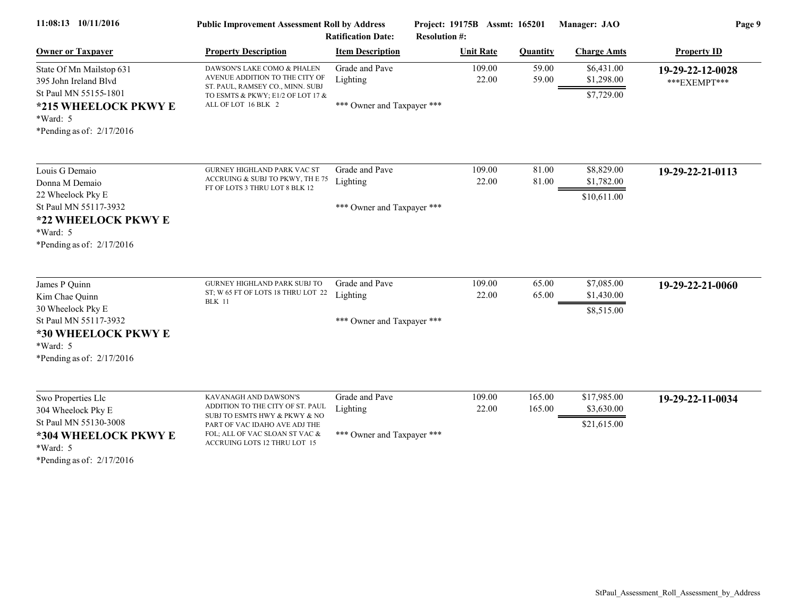| 11:08:13 10/11/2016                                                                                                                                | <b>Public Improvement Assessment Roll by Address</b><br><b>Ratification Date:</b>                                                                                                             |                                                          | Project: 19175B Assmt: 165201<br><b>Resolution #:</b> |                  | Manager: JAO                             | Page 9                           |  |
|----------------------------------------------------------------------------------------------------------------------------------------------------|-----------------------------------------------------------------------------------------------------------------------------------------------------------------------------------------------|----------------------------------------------------------|-------------------------------------------------------|------------------|------------------------------------------|----------------------------------|--|
| <b>Owner or Taxpayer</b>                                                                                                                           | <b>Property Description</b>                                                                                                                                                                   | <b>Item Description</b>                                  | <b>Unit Rate</b>                                      | <b>Quantity</b>  | <b>Charge Amts</b>                       | <b>Property ID</b>               |  |
| State Of Mn Mailstop 631<br>395 John Ireland Blyd<br>St Paul MN 55155-1801<br>*215 WHEELOCK PKWY E<br>*Ward: 5<br>*Pending as of: $2/17/2016$      | DAWSON'S LAKE COMO & PHALEN<br>AVENUE ADDITION TO THE CITY OF<br>ST. PAUL, RAMSEY CO., MINN. SUBJ<br>TO ESMTS & PKWY; E1/2 OF LOT 17 &<br>ALL OF LOT 16 BLK 2                                 | Grade and Pave<br>Lighting<br>*** Owner and Taxpayer *** | 109.00<br>22.00                                       | 59.00<br>59.00   | \$6,431.00<br>\$1,298.00<br>\$7,729.00   | 19-29-22-12-0028<br>***EXEMPT*** |  |
| Louis G Demaio<br>Donna M Demaio<br>22 Wheelock Pky E<br>St Paul MN 55117-3932<br>*22 WHEELOCK PKWY E<br>$*Ward: 5$<br>*Pending as of: $2/17/2016$ | <b>GURNEY HIGHLAND PARK VAC ST</b><br>ACCRUING & SUBJ TO PKWY, THE 75<br>FT OF LOTS 3 THRU LOT 8 BLK 12                                                                                       | Grade and Pave<br>Lighting<br>*** Owner and Taxpayer *** | 109.00<br>22.00                                       | 81.00<br>81.00   | \$8,829.00<br>\$1,782.00<br>\$10,611.00  | 19-29-22-21-0113                 |  |
| James P Quinn<br>Kim Chae Quinn<br>30 Wheelock Pky E<br>St Paul MN 55117-3932<br>*30 WHEELOCK PKWY E<br>*Ward: 5<br>*Pending as of: $2/17/2016$    | GURNEY HIGHLAND PARK SUBJ TO<br>ST; W 65 FT OF LOTS 18 THRU LOT 22<br><b>BLK</b> 11                                                                                                           | Grade and Pave<br>Lighting<br>*** Owner and Taxpayer *** | 109.00<br>22.00                                       | 65.00<br>65.00   | \$7,085.00<br>\$1,430.00<br>\$8,515.00   | 19-29-22-21-0060                 |  |
| Swo Properties Llc<br>304 Wheelock Pky E<br>St Paul MN 55130-3008<br>*304 WHEELOCK PKWY E<br>$*Ward: 5$<br>*Pending as of: $2/17/2016$             | KAVANAGH AND DAWSON'S<br>ADDITION TO THE CITY OF ST. PAUL<br>SUBJ TO ESMTS HWY & PKWY & NO<br>PART OF VAC IDAHO AVE ADJ THE<br>FOL; ALL OF VAC SLOAN ST VAC &<br>ACCRUING LOTS 12 THRU LOT 15 | Grade and Pave<br>Lighting<br>*** Owner and Taxpayer *** | 109.00<br>22.00                                       | 165.00<br>165.00 | \$17,985.00<br>\$3,630.00<br>\$21,615.00 | 19-29-22-11-0034                 |  |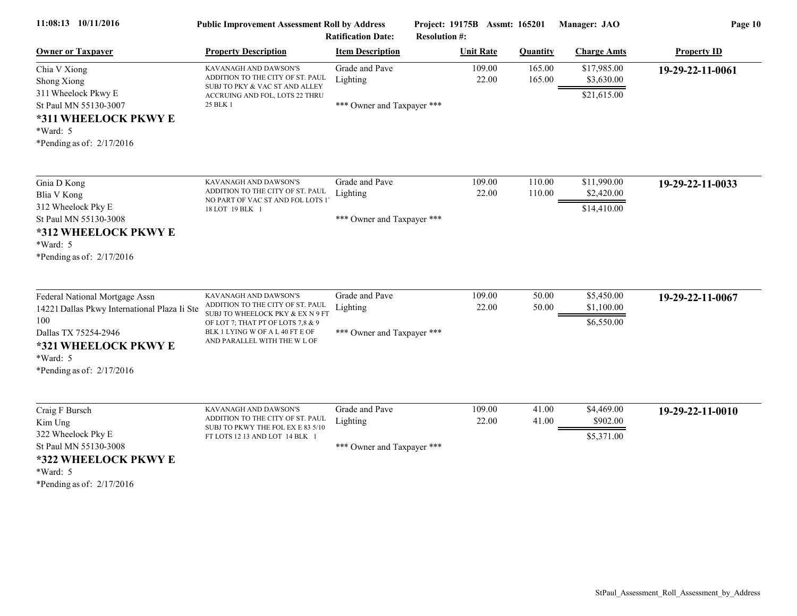| 11:08:13 10/11/2016                                                                                                                                                              | <b>Public Improvement Assessment Roll by Address</b><br><b>Ratification Date:</b>                                                                                                                     |                                                          | Project: 19175B Assmt: 165201<br><b>Resolution #:</b> |                  |                  | Manager: JAO                             | Page 10            |
|----------------------------------------------------------------------------------------------------------------------------------------------------------------------------------|-------------------------------------------------------------------------------------------------------------------------------------------------------------------------------------------------------|----------------------------------------------------------|-------------------------------------------------------|------------------|------------------|------------------------------------------|--------------------|
| <b>Owner or Taxpayer</b>                                                                                                                                                         | <b>Property Description</b>                                                                                                                                                                           | <b>Item Description</b>                                  |                                                       | <b>Unit Rate</b> | Quantity         | <b>Charge Amts</b>                       | <b>Property ID</b> |
| Chia V Xiong<br>Shong Xiong<br>311 Wheelock Pkwy E<br>St Paul MN 55130-3007<br>*311 WHEELOCK PKWY E<br>*Ward: 5<br>*Pending as of: $2/17/2016$                                   | KAVANAGH AND DAWSON'S<br>ADDITION TO THE CITY OF ST. PAUL<br>SUBJ TO PKY & VAC ST AND ALLEY<br>ACCRUING AND FOL, LOTS 22 THRU<br>25 BLK 1                                                             | Grade and Pave<br>Lighting<br>*** Owner and Taxpayer *** |                                                       | 109.00<br>22.00  | 165.00<br>165.00 | \$17,985.00<br>\$3,630.00<br>\$21,615.00 | 19-29-22-11-0061   |
| Gnia D Kong<br>Blia V Kong<br>312 Wheelock Pky E<br>St Paul MN 55130-3008<br>*312 WHEELOCK PKWY E<br>*Ward: 5<br>*Pending as of: $2/17/2016$                                     | KAVANAGH AND DAWSON'S<br>ADDITION TO THE CITY OF ST. PAUL<br>NO PART OF VAC ST AND FOL LOTS 1'<br>18 LOT 19 BLK 1                                                                                     | Grade and Pave<br>Lighting<br>*** Owner and Taxpayer *** |                                                       | 109.00<br>22.00  | 110.00<br>110.00 | \$11,990.00<br>\$2,420.00<br>\$14,410.00 | 19-29-22-11-0033   |
| Federal National Mortgage Assn<br>14221 Dallas Pkwy International Plaza Ii Ste<br>100<br>Dallas TX 75254-2946<br>*321 WHEELOCK PKWY E<br>*Ward: 5<br>*Pending as of: $2/17/2016$ | KAVANAGH AND DAWSON'S<br>ADDITION TO THE CITY OF ST. PAUL<br>SUBJ TO WHEELOCK PKY & EX N 9 FT<br>OF LOT 7; THAT PT OF LOTS 7,8 & 9<br>BLK 1 LYING W OF A L 40 FT E OF<br>AND PARALLEL WITH THE W L OF | Grade and Pave<br>Lighting<br>*** Owner and Taxpayer *** |                                                       | 109.00<br>22.00  | 50.00<br>50.00   | \$5,450.00<br>\$1,100.00<br>\$6,550.00   | 19-29-22-11-0067   |
| Craig F Bursch<br>Kim Ung<br>322 Wheelock Pky E<br>St Paul MN 55130-3008<br>*322 WHEELOCK PKWY E<br>*Ward: 5<br>*Pending as of: $2/17/2016$                                      | KAVANAGH AND DAWSON'S<br>ADDITION TO THE CITY OF ST. PAUL<br>SUBJ TO PKWY THE FOL EX E 83 5/10<br>FT LOTS 12 13 AND LOT 14 BLK 1                                                                      | Grade and Pave<br>Lighting<br>*** Owner and Taxpayer *** |                                                       | 109.00<br>22.00  | 41.00<br>41.00   | \$4,469.00<br>\$902.00<br>\$5,371.00     | 19-29-22-11-0010   |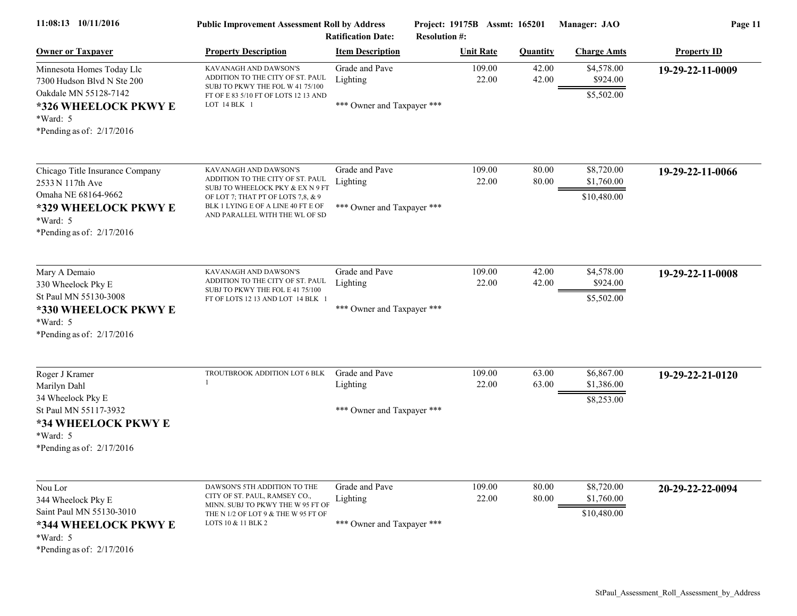| 11:08:13 10/11/2016                                                                                              | <b>Public Improvement Assessment Roll by Address</b><br><b>Ratification Date:</b>                                                              |                                        | Project: 19175B Assmt: 165201<br><b>Resolution #:</b> |                 | Manager: JAO                         | Page 11            |  |
|------------------------------------------------------------------------------------------------------------------|------------------------------------------------------------------------------------------------------------------------------------------------|----------------------------------------|-------------------------------------------------------|-----------------|--------------------------------------|--------------------|--|
| <b>Owner or Taxpayer</b>                                                                                         | <b>Property Description</b>                                                                                                                    | <b>Item Description</b>                | <b>Unit Rate</b>                                      | <b>Quantity</b> | <b>Charge Amts</b>                   | <b>Property ID</b> |  |
| Minnesota Homes Today Llc<br>7300 Hudson Blvd N Ste 200<br>Oakdale MN 55128-7142                                 | KAVANAGH AND DAWSON'S<br>ADDITION TO THE CITY OF ST. PAUL<br>SUBJ TO PKWY THE FOL W 41 75/100<br>FT OF E 83 5/10 FT OF LOTS 12 13 AND          | Grade and Pave<br>Lighting             | 109.00<br>22.00                                       | 42.00<br>42.00  | \$4,578.00<br>\$924.00<br>\$5,502.00 | 19-29-22-11-0009   |  |
| *326 WHEELOCK PKWY E<br>$*Ward: 5$<br>*Pending as of: $2/17/2016$                                                | LOT 14 BLK 1                                                                                                                                   | *** Owner and Taxpayer ***             |                                                       |                 |                                      |                    |  |
| Chicago Title Insurance Company                                                                                  | KAVANAGH AND DAWSON'S<br>ADDITION TO THE CITY OF ST. PAUL                                                                                      | Grade and Pave                         | 109.00                                                | 80.00           | \$8,720.00                           | 19-29-22-11-0066   |  |
| 2533 N 117th Ave<br>Omaha NE 68164-9662<br>*329 WHEELOCK PKWY E<br>$*Ward: 5$<br>*Pending as of: $2/17/2016$     | SUBJ TO WHEELOCK PKY & EX N 9 FT<br>OF LOT 7; THAT PT OF LOTS 7,8, & 9<br>BLK 1 LYING E OF A LINE 40 FT E OF<br>AND PARALLEL WITH THE WL OF SD | Lighting<br>*** Owner and Taxpayer *** | 22.00                                                 | 80.00           | \$1,760.00<br>\$10,480.00            |                    |  |
| Mary A Demaio                                                                                                    | KAVANAGH AND DAWSON'S<br>ADDITION TO THE CITY OF ST. PAUL                                                                                      | Grade and Pave<br>Lighting             | 109.00<br>22.00                                       | 42.00<br>42.00  | \$4,578.00<br>\$924.00               | 19-29-22-11-0008   |  |
| 330 Wheelock Pky E<br>St Paul MN 55130-3008<br>*330 WHEELOCK PKWY E<br>$*Ward: 5$<br>*Pending as of: $2/17/2016$ | SUBJ TO PKWY THE FOL E 41 75/100<br>FT OF LOTS 12 13 AND LOT 14 BLK 1                                                                          | *** Owner and Taxpayer ***             |                                                       |                 | \$5,502.00                           |                    |  |
| Roger J Kramer                                                                                                   | TROUTBROOK ADDITION LOT 6 BLK                                                                                                                  | Grade and Pave                         | 109.00                                                | 63.00           | \$6,867.00                           | 19-29-22-21-0120   |  |
| Marilyn Dahl<br>34 Wheelock Pky E                                                                                |                                                                                                                                                | Lighting                               | 22.00                                                 | 63.00           | \$1,386.00<br>\$8,253.00             |                    |  |
| St Paul MN 55117-3932<br>*34 WHEELOCK PKWY E<br>$*Ward: 5$<br>*Pending as of: $2/17/2016$                        |                                                                                                                                                | *** Owner and Taxpayer ***             |                                                       |                 |                                      |                    |  |
| Nou Lor<br>344 Wheelock Pky E                                                                                    | DAWSON'S 5TH ADDITION TO THE<br>CITY OF ST. PAUL, RAMSEY CO.,                                                                                  | Grade and Pave<br>Lighting             | 109.00<br>22.00                                       | 80.00<br>80.00  | \$8,720.00<br>\$1,760.00             | 20-29-22-22-0094   |  |
| Saint Paul MN 55130-3010<br>*344 WHEELOCK PKWY E<br>$*Ward: 5$                                                   | MINN. SUBJ TO PKWY THE W 95 FT OF<br>THE N 1/2 OF LOT 9 & THE W 95 FT OF<br>LOTS 10 & 11 BLK 2                                                 | *** Owner and Taxpayer ***             |                                                       |                 | \$10,480.00                          |                    |  |
| *Pending as of: 2/17/2016                                                                                        |                                                                                                                                                |                                        |                                                       |                 |                                      |                    |  |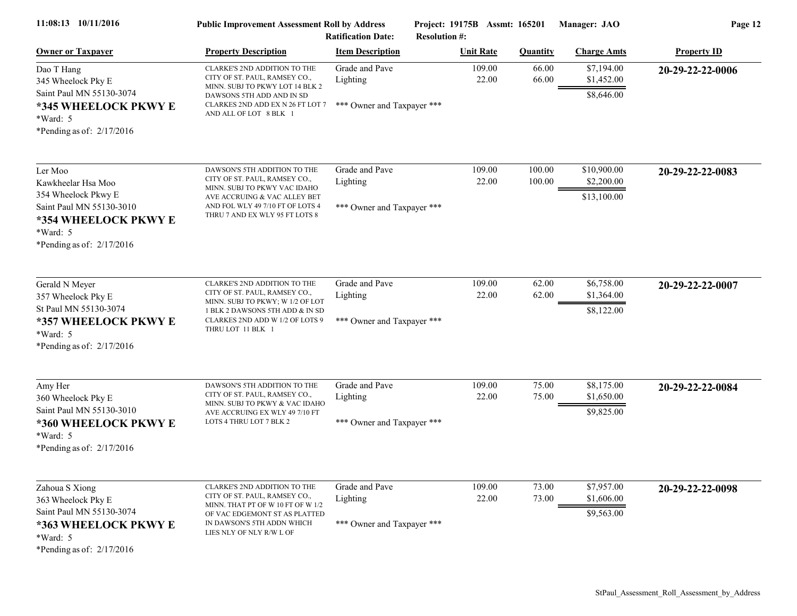| 11:08:13 10/11/2016                                                                                                                                   | <b>Public Improvement Assessment Roll by Address</b><br><b>Ratification Date:</b>                                                                                                                   |                                                          | Project: 19175B Assmt: 165201<br><b>Resolution #:</b> |                  | Manager: JAO                             | Page 12            |  |
|-------------------------------------------------------------------------------------------------------------------------------------------------------|-----------------------------------------------------------------------------------------------------------------------------------------------------------------------------------------------------|----------------------------------------------------------|-------------------------------------------------------|------------------|------------------------------------------|--------------------|--|
| <b>Owner or Taxpayer</b>                                                                                                                              | <b>Property Description</b>                                                                                                                                                                         | <b>Item Description</b>                                  | <b>Unit Rate</b>                                      | <b>Quantity</b>  | <b>Charge Amts</b>                       | <b>Property ID</b> |  |
| Dao T Hang<br>345 Wheelock Pky E<br>Saint Paul MN 55130-3074<br>*345 WHEELOCK PKWY E                                                                  | CLARKE'S 2ND ADDITION TO THE<br>CITY OF ST. PAUL, RAMSEY CO.,<br>MINN. SUBJ TO PKWY LOT 14 BLK 2<br>DAWSONS 5TH ADD AND IN SD<br>CLARKES 2ND ADD EX N 26 FT LOT 7                                   | Grade and Pave<br>Lighting<br>*** Owner and Taxpayer *** | 109.00<br>22.00                                       | 66.00<br>66.00   | \$7,194.00<br>\$1,452.00<br>\$8,646.00   | 20-29-22-22-0006   |  |
| *Ward: 5<br>*Pending as of: $2/17/2016$                                                                                                               | AND ALL OF LOT 8 BLK 1                                                                                                                                                                              |                                                          |                                                       |                  |                                          |                    |  |
| Ler Moo<br>Kawkheelar Hsa Moo<br>354 Wheelock Pkwy E<br>Saint Paul MN 55130-3010<br>*354 WHEELOCK PKWY E<br>$*Ward: 5$<br>*Pending as of: $2/17/2016$ | DAWSON'S 5TH ADDITION TO THE<br>CITY OF ST. PAUL, RAMSEY CO.,<br>MINN. SUBJ TO PKWY VAC IDAHO<br>AVE ACCRUING & VAC ALLEY BET<br>AND FOL WLY 49 7/10 FT OF LOTS 4<br>THRU 7 AND EX WLY 95 FT LOTS 8 | Grade and Pave<br>Lighting<br>*** Owner and Taxpayer *** | 109.00<br>22.00                                       | 100.00<br>100.00 | \$10,900.00<br>\$2,200.00<br>\$13,100.00 | 20-29-22-22-0083   |  |
| Gerald N Meyer<br>357 Wheelock Pky E<br>St Paul MN 55130-3074<br>*357 WHEELOCK PKWY E<br>*Ward: 5<br>*Pending as of: $2/17/2016$                      | CLARKE'S 2ND ADDITION TO THE<br>CITY OF ST. PAUL, RAMSEY CO.,<br>MINN. SUBJ TO PKWY; W 1/2 OF LOT<br>1 BLK 2 DAWSONS 5TH ADD & IN SD<br>CLARKES 2ND ADD W 1/2 OF LOTS 9<br>THRU LOT 11 BLK 1        | Grade and Pave<br>Lighting<br>*** Owner and Taxpayer *** | 109.00<br>22.00                                       | 62.00<br>62.00   | \$6,758.00<br>\$1,364.00<br>\$8,122.00   | 20-29-22-22-0007   |  |
| Amy Her<br>360 Wheelock Pky E<br>Saint Paul MN 55130-3010<br>*360 WHEELOCK PKWY E<br>$*Ward: 5$<br>*Pending as of: $2/17/2016$                        | DAWSON'S 5TH ADDITION TO THE<br>CITY OF ST. PAUL, RAMSEY CO.,<br>MINN. SUBJ TO PKWY & VAC IDAHO<br>AVE ACCRUING EX WLY 49 7/10 FT<br>LOTS 4 THRU LOT 7 BLK 2                                        | Grade and Pave<br>Lighting<br>*** Owner and Taxpayer *** | 109.00<br>22.00                                       | 75.00<br>75.00   | \$8,175.00<br>\$1,650.00<br>\$9,825.00   | 20-29-22-22-0084   |  |
| Zahoua S Xiong<br>363 Wheelock Pky E<br>Saint Paul MN 55130-3074<br>*363 WHEELOCK PKWY E<br>*Ward: 5<br>*Pending as of: $2/17/2016$                   | CLARKE'S 2ND ADDITION TO THE<br>CITY OF ST. PAUL, RAMSEY CO.,<br>MINN. THAT PT OF W 10 FT OF W 1/2<br>OF VAC EDGEMONT ST AS PLATTED<br>IN DAWSON'S 5TH ADDN WHICH<br>LIES NLY OF NLY R/W L OF       | Grade and Pave<br>Lighting<br>*** Owner and Taxpayer *** | 109.00<br>22.00                                       | 73.00<br>73.00   | \$7,957.00<br>\$1,606.00<br>\$9,563.00   | 20-29-22-22-0098   |  |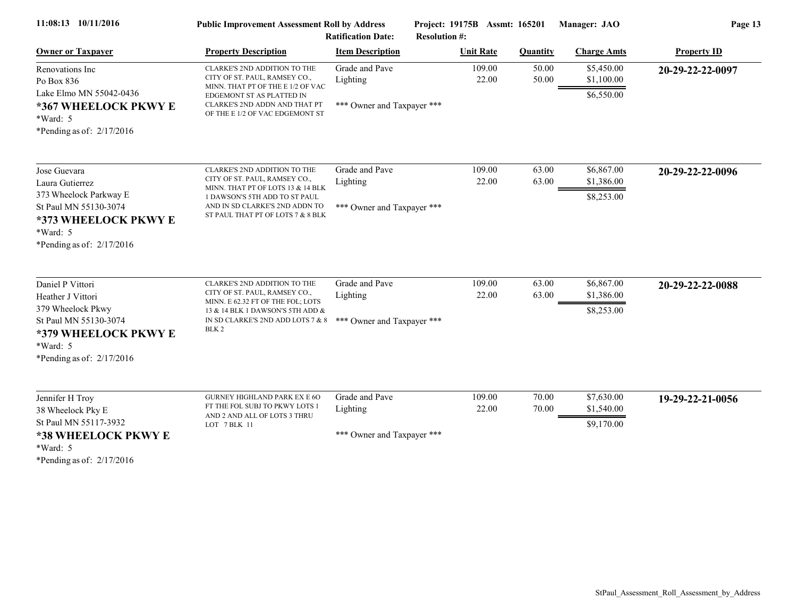| 11:08:13 10/11/2016                                                                                                                                    | <b>Public Improvement Assessment Roll by Address</b><br><b>Ratification Date:</b>                                                                                                                          |                                                          | Project: 19175B Assmt: 165201<br><b>Resolution #:</b> |                 | Manager: JAO                           | Page 13            |  |
|--------------------------------------------------------------------------------------------------------------------------------------------------------|------------------------------------------------------------------------------------------------------------------------------------------------------------------------------------------------------------|----------------------------------------------------------|-------------------------------------------------------|-----------------|----------------------------------------|--------------------|--|
| <b>Owner or Taxpayer</b>                                                                                                                               | <b>Property Description</b>                                                                                                                                                                                | <b>Item Description</b>                                  | <b>Unit Rate</b>                                      | <b>Quantity</b> | <b>Charge Amts</b>                     | <b>Property ID</b> |  |
| Renovations Inc.<br>Po Box 836<br>Lake Elmo MN 55042-0436<br>*367 WHEELOCK PKWY E<br>$*Ward: 5$<br>*Pending as of: $2/17/2016$                         | CLARKE'S 2ND ADDITION TO THE<br>CITY OF ST. PAUL, RAMSEY CO.,<br>MINN. THAT PT OF THE E 1/2 OF VAC<br>EDGEMONT ST AS PLATTED IN<br>CLARKE'S 2ND ADDN AND THAT PT<br>OF THE E 1/2 OF VAC EDGEMONT ST        | Grade and Pave<br>Lighting<br>*** Owner and Taxpayer *** | 109.00<br>22.00                                       | 50.00<br>50.00  | \$5,450.00<br>\$1,100.00<br>\$6,550.00 | 20-29-22-22-0097   |  |
| Jose Guevara<br>Laura Gutierrez<br>373 Wheelock Parkway E<br>St Paul MN 55130-3074<br>*373 WHEELOCK PKWY E<br>*Ward: 5<br>*Pending as of: $2/17/2016$  | CLARKE'S 2ND ADDITION TO THE<br>CITY OF ST. PAUL, RAMSEY CO.,<br>MINN. THAT PT OF LOTS 13 & 14 BLK<br>1 DAWSON'S 5TH ADD TO ST PAUL<br>AND IN SD CLARKE'S 2ND ADDN TO<br>ST PAUL THAT PT OF LOTS 7 & 8 BLK | Grade and Pave<br>Lighting<br>*** Owner and Taxpayer *** | 109.00<br>22.00                                       | 63.00<br>63.00  | \$6,867.00<br>\$1,386.00<br>\$8,253.00 | 20-29-22-22-0096   |  |
| Daniel P Vittori<br>Heather J Vittori<br>379 Wheelock Pkwy<br>St Paul MN 55130-3074<br>*379 WHEELOCK PKWY E<br>*Ward: 5<br>*Pending as of: $2/17/2016$ | CLARKE'S 2ND ADDITION TO THE<br>CITY OF ST. PAUL, RAMSEY CO.,<br>MINN. E 62.32 FT OF THE FOL; LOTS<br>13 & 14 BLK 1 DAWSON'S 5TH ADD &<br>IN SD CLARKE'S 2ND ADD LOTS 7 $\&$ 8<br>BLK <sub>2</sub>         | Grade and Pave<br>Lighting<br>*** Owner and Taxpayer *** | 109.00<br>22.00                                       | 63.00<br>63.00  | \$6,867.00<br>\$1,386.00<br>\$8,253.00 | 20-29-22-22-0088   |  |
| Jennifer H Troy<br>38 Wheelock Pky E<br>St Paul MN 55117-3932<br>*38 WHEELOCK PKWY E<br>*Ward: 5<br>*Pending as of: $2/17/2016$                        | <b>GURNEY HIGHLAND PARK EX E 6O</b><br>FT THE FOL SUBJ TO PKWY LOTS 1<br>AND 2 AND ALL OF LOTS 3 THRU<br>LOT 7 BLK 11                                                                                      | Grade and Pave<br>Lighting<br>*** Owner and Taxpayer *** | 109.00<br>22.00                                       | 70.00<br>70.00  | \$7,630.00<br>\$1,540.00<br>\$9,170.00 | 19-29-22-21-0056   |  |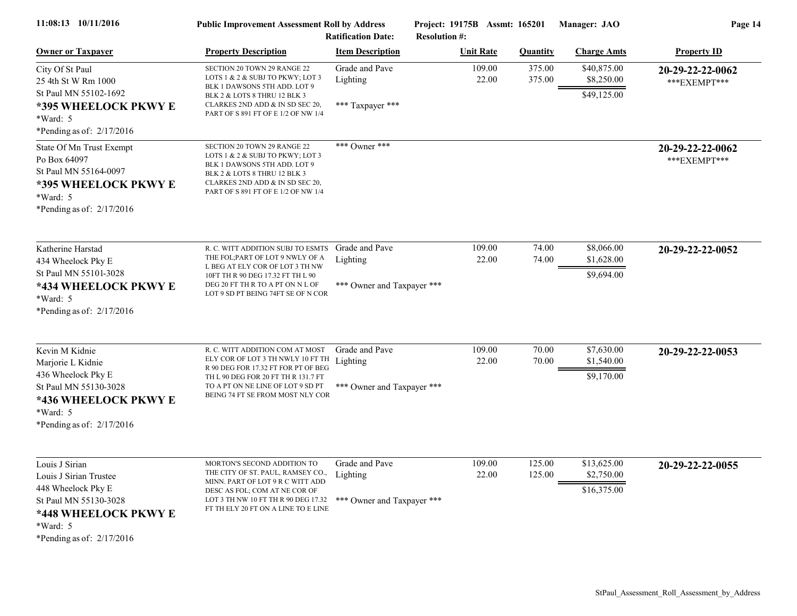| 11:08:13 10/11/2016                                                                                                                                          | <b>Public Improvement Assessment Roll by Address</b><br><b>Ratification Date:</b>                                                                                                                                           |                                                          | Project: 19175B Assmt: 165201<br><b>Resolution #:</b> |                  | Manager: JAO                             | Page 14                          |  |
|--------------------------------------------------------------------------------------------------------------------------------------------------------------|-----------------------------------------------------------------------------------------------------------------------------------------------------------------------------------------------------------------------------|----------------------------------------------------------|-------------------------------------------------------|------------------|------------------------------------------|----------------------------------|--|
| <b>Owner or Taxpayer</b>                                                                                                                                     | <b>Property Description</b>                                                                                                                                                                                                 | <b>Item Description</b>                                  | <b>Unit Rate</b>                                      | <b>Quantity</b>  | <b>Charge Amts</b>                       | <b>Property ID</b>               |  |
| City Of St Paul<br>25 4th St W Rm 1000<br>St Paul MN 55102-1692<br>*395 WHEELOCK PKWY E<br>*Ward: 5<br>*Pending as of: $2/17/2016$                           | SECTION 20 TOWN 29 RANGE 22<br>LOTS 1 & 2 & SUBJ TO PKWY; LOT 3<br>BLK 1 DAWSONS 5TH ADD. LOT 9<br>BLK 2 & LOTS 8 THRU 12 BLK 3<br>CLARKES 2ND ADD & IN SD SEC 20,<br>PART OF S 891 FT OF E 1/2 OF NW 1/4                   | Grade and Pave<br>Lighting<br>*** Taxpayer ***           | 109.00<br>22.00                                       | 375.00<br>375.00 | \$40,875.00<br>\$8,250.00<br>\$49,125.00 | 20-29-22-22-0062<br>***EXEMPT*** |  |
| State Of Mn Trust Exempt<br>Po Box 64097<br>St Paul MN 55164-0097<br>*395 WHEELOCK PKWY E<br>$*Ward: 5$<br>*Pending as of: $2/17/2016$                       | SECTION 20 TOWN 29 RANGE 22<br>LOTS 1 & 2 & SUBJ TO PKWY; LOT 3<br>BLK 1 DAWSONS 5TH ADD. LOT 9<br>BLK 2 & LOTS 8 THRU 12 BLK 3<br>CLARKES 2ND ADD & IN SD SEC 20,<br>PART OF S 891 FT OF E 1/2 OF NW 1/4                   | *** Owner ***                                            |                                                       |                  |                                          | 20-29-22-22-0062<br>***EXEMPT*** |  |
| Katherine Harstad<br>434 Wheelock Pky E<br>St Paul MN 55101-3028<br>*434 WHEELOCK PKWY E<br>*Ward: 5<br>*Pending as of: $2/17/2016$                          | R. C. WITT ADDITION SUBJ TO ESMTS<br>THE FOL; PART OF LOT 9 NWLY OF A<br>L BEG AT ELY COR OF LOT 3 TH NW<br>10FT TH R 90 DEG 17.32 FT TH L 90<br>DEG 20 FT TH R TO A PT ON N L OF<br>LOT 9 SD PT BEING 74FT SE OF N COR     | Grade and Pave<br>Lighting<br>*** Owner and Taxpayer *** | 109.00<br>22.00                                       | 74.00<br>74.00   | \$8,066.00<br>\$1,628.00<br>\$9,694.00   | 20-29-22-22-0052                 |  |
| Kevin M Kidnie<br>Marjorie L Kidnie<br>436 Wheelock Pky E<br>St Paul MN 55130-3028<br>*436 WHEELOCK PKWY E<br>*Ward: 5<br>*Pending as of: $2/17/2016$        | R. C. WITT ADDITION COM AT MOST<br>ELY COR OF LOT 3 TH NWLY 10 FT TH<br>R 90 DEG FOR 17.32 FT FOR PT OF BEG<br>TH L 90 DEG FOR 20 FT TH R 131.7 FT<br>TO A PT ON NE LINE OF LOT 9 SD PT<br>BEING 74 FT SE FROM MOST NLY COR | Grade and Pave<br>Lighting<br>*** Owner and Taxpayer *** | 109.00<br>22.00                                       | 70.00<br>70.00   | \$7,630.00<br>\$1,540.00<br>\$9,170.00   | 20-29-22-22-0053                 |  |
| Louis J Sirian<br>Louis J Sirian Trustee<br>448 Wheelock Pky E<br>St Paul MN 55130-3028<br>*448 WHEELOCK PKWY E<br>$*Ward: 5$<br>*Pending as of: $2/17/2016$ | MORTON'S SECOND ADDITION TO<br>THE CITY OF ST. PAUL, RAMSEY CO.,<br>MINN. PART OF LOT 9 R C WITT ADD<br>DESC AS FOL; COM AT NE COR OF<br>LOT 3 TH NW 10 FT TH R 90 DEG 17.32<br>FT TH ELY 20 FT ON A LINE TO E LINE         | Grade and Pave<br>Lighting<br>*** Owner and Taxpayer *** | 109.00<br>22.00                                       | 125.00<br>125.00 | \$13,625.00<br>\$2,750.00<br>\$16,375.00 | 20-29-22-22-0055                 |  |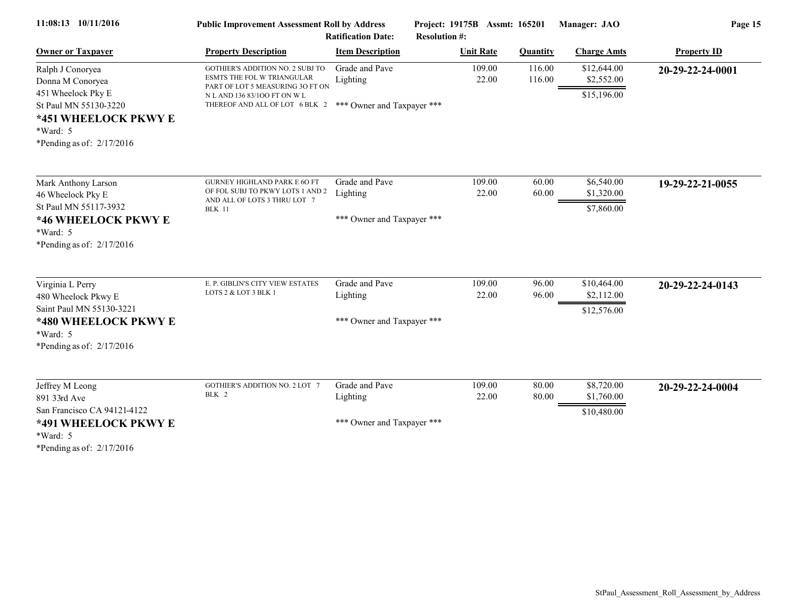| 11:08:13 10/11/2016                                                                                                                                      | <b>Public Improvement Assessment Roll by Address</b><br><b>Ratification Date:</b>                                                                                    |                                                          | Project: 19175B Assmt: 165201<br><b>Resolution #:</b> |                  | Manager: JAO                             | Page 15            |  |
|----------------------------------------------------------------------------------------------------------------------------------------------------------|----------------------------------------------------------------------------------------------------------------------------------------------------------------------|----------------------------------------------------------|-------------------------------------------------------|------------------|------------------------------------------|--------------------|--|
| <b>Owner or Taxpayer</b>                                                                                                                                 | <b>Property Description</b>                                                                                                                                          | <b>Item Description</b>                                  | <b>Unit Rate</b>                                      | <b>Quantity</b>  | <b>Charge Amts</b>                       | <b>Property ID</b> |  |
| Ralph J Conoryea<br>Donna M Conoryea<br>451 Wheelock Pky E<br>St Paul MN 55130-3220<br>*451 WHEELOCK PKWY E<br>$*Ward: 5$<br>*Pending as of: $2/17/2016$ | GOTHIER'S ADDITION NO. 2 SUBJ TO<br>ESMTS THE FOL W TRIANGULAR<br>PART OF LOT 5 MEASURING 3O FT ON<br>N L AND 136 83/100 FT ON W L<br>THEREOF AND ALL OF LOT 6 BLK 2 | Grade and Pave<br>Lighting<br>*** Owner and Taxpayer *** | 109.00<br>22.00                                       | 116.00<br>116.00 | \$12,644.00<br>\$2,552.00<br>\$15,196.00 | 20-29-22-24-0001   |  |
| Mark Anthony Larson<br>46 Wheelock Pky E<br>St Paul MN 55117-3932<br>*46 WHEELOCK PKWY E<br>$*Ward: 5$<br>*Pending as of: $2/17/2016$                    | <b>GURNEY HIGHLAND PARK E 6O FT</b><br>OF FOL SUBJ TO PKWY LOTS 1 AND 2<br>AND ALL OF LOTS 3 THRU LOT 7<br><b>BLK 11</b>                                             | Grade and Pave<br>Lighting<br>*** Owner and Taxpayer *** | 109.00<br>22.00                                       | 60.00<br>60.00   | \$6,540.00<br>\$1,320.00<br>\$7,860.00   | 19-29-22-21-0055   |  |
| Virginia L Perry<br>480 Wheelock Pkwy E<br>Saint Paul MN 55130-3221<br>*480 WHEELOCK PKWY E<br>$*Ward: 5$<br>*Pending as of: $2/17/2016$                 | E. P. GIBLIN'S CITY VIEW ESTATES<br>LOTS 2 & LOT 3 BLK 1                                                                                                             | Grade and Pave<br>Lighting<br>*** Owner and Taxpayer *** | 109.00<br>22.00                                       | 96.00<br>96.00   | \$10,464.00<br>\$2,112.00<br>\$12,576.00 | 20-29-22-24-0143   |  |
| Jeffrey M Leong<br>891 33rd Ave<br>San Francisco CA 94121-4122<br>*491 WHEELOCK PKWY E<br>$*Ward: 5$<br>*Pending as of: $2/17/2016$                      | <b>GOTHIER'S ADDITION NO. 2 LOT 7</b><br>BLK 2                                                                                                                       | Grade and Pave<br>Lighting<br>*** Owner and Taxpayer *** | 109.00<br>22.00                                       | 80.00<br>80.00   | \$8,720.00<br>\$1,760.00<br>\$10,480.00  | 20-29-22-24-0004   |  |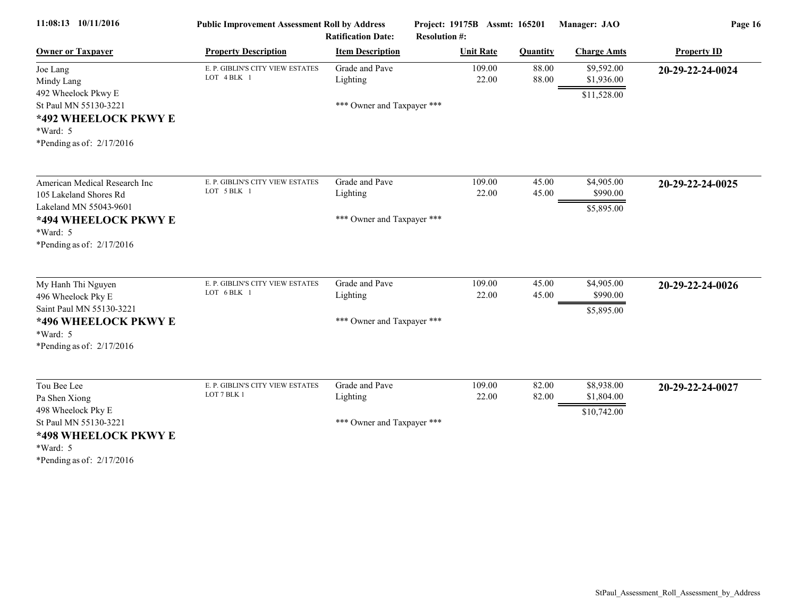| 11:08:13 10/11/2016                                                                                                                              | <b>Public Improvement Assessment Roll by Address</b><br><b>Ratification Date:</b> |                                                          | Project: 19175B Assmt: 165201<br><b>Resolution #:</b> |                 | Manager: JAO                            | Page 16            |  |
|--------------------------------------------------------------------------------------------------------------------------------------------------|-----------------------------------------------------------------------------------|----------------------------------------------------------|-------------------------------------------------------|-----------------|-----------------------------------------|--------------------|--|
| <b>Owner or Taxpayer</b>                                                                                                                         | <b>Property Description</b>                                                       | <b>Item Description</b>                                  | <b>Unit Rate</b>                                      | <b>Quantity</b> | <b>Charge Amts</b>                      | <b>Property ID</b> |  |
| Joe Lang<br>Mindy Lang<br>492 Wheelock Pkwy E<br>St Paul MN 55130-3221                                                                           | E. P. GIBLIN'S CITY VIEW ESTATES<br>LOT 4 BLK 1                                   | Grade and Pave<br>Lighting<br>*** Owner and Taxpayer *** | 109.00<br>22.00                                       | 88.00<br>88.00  | \$9,592.00<br>\$1,936.00<br>\$11,528.00 | 20-29-22-24-0024   |  |
| *492 WHEELOCK PKWY E<br>*Ward: 5<br>*Pending as of: $2/17/2016$                                                                                  |                                                                                   |                                                          |                                                       |                 |                                         |                    |  |
| American Medical Research Inc<br>105 Lakeland Shores Rd<br>Lakeland MN 55043-9601                                                                | E. P. GIBLIN'S CITY VIEW ESTATES<br>LOT 5 BLK 1                                   | Grade and Pave<br>Lighting                               | 109.00<br>22.00                                       | 45.00<br>45.00  | \$4,905.00<br>\$990.00                  | 20-29-22-24-0025   |  |
| *494 WHEELOCK PKWY E<br>$*Ward: 5$<br>*Pending as of: $2/17/2016$                                                                                |                                                                                   | *** Owner and Taxpayer ***                               |                                                       |                 | \$5,895.00                              |                    |  |
| My Hanh Thi Nguyen<br>496 Wheelock Pky E<br>Saint Paul MN 55130-3221<br>*496 WHEELOCK PKWY E<br>*Ward: 5<br>*Pending as of: $2/17/2016$          | E. P. GIBLIN'S CITY VIEW ESTATES<br>LOT 6 BLK 1                                   | Grade and Pave<br>Lighting<br>*** Owner and Taxpayer *** | 109.00<br>22.00                                       | 45.00<br>45.00  | \$4,905.00<br>\$990.00<br>\$5,895.00    | 20-29-22-24-0026   |  |
| Tou Bee Lee<br>Pa Shen Xiong<br>498 Wheelock Pky E<br>St Paul MN 55130-3221<br>*498 WHEELOCK PKWY E<br>$*Ward: 5$<br>*Pending as of: $2/17/2016$ | E. P. GIBLIN'S CITY VIEW ESTATES<br>LOT 7 BLK 1                                   | Grade and Pave<br>Lighting<br>*** Owner and Taxpayer *** | 109.00<br>22.00                                       | 82.00<br>82.00  | \$8,938.00<br>\$1,804.00<br>\$10,742.00 | 20-29-22-24-0027   |  |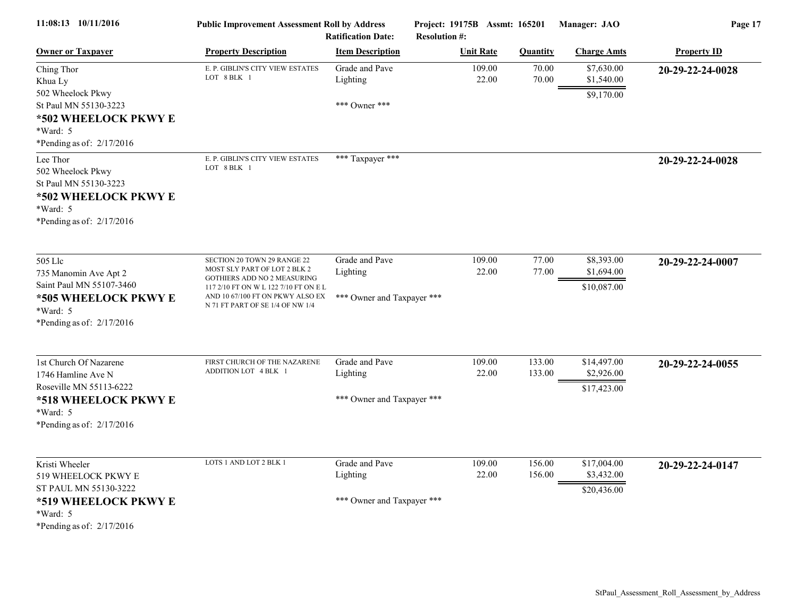| 11:08:13 10/11/2016                                                                                                                        | <b>Public Improvement Assessment Roll by Address</b><br><b>Ratification Date:</b>                                                                                                                           |                                                          | Project: 19175B Assmt: 165201<br><b>Resolution #:</b> |                  | Manager: JAO                             | Page 17            |  |
|--------------------------------------------------------------------------------------------------------------------------------------------|-------------------------------------------------------------------------------------------------------------------------------------------------------------------------------------------------------------|----------------------------------------------------------|-------------------------------------------------------|------------------|------------------------------------------|--------------------|--|
| <b>Owner or Taxpayer</b>                                                                                                                   | <b>Property Description</b>                                                                                                                                                                                 | <b>Item Description</b>                                  | <b>Unit Rate</b>                                      | <b>Quantity</b>  | <b>Charge Amts</b>                       | <b>Property ID</b> |  |
| Ching Thor<br>Khua Ly<br>502 Wheelock Pkwy<br>St Paul MN 55130-3223<br>*502 WHEELOCK PKWY E<br>*Ward: 5<br>*Pending as of: $2/17/2016$     | E. P. GIBLIN'S CITY VIEW ESTATES<br>LOT 8 BLK 1                                                                                                                                                             | Grade and Pave<br>Lighting<br>*** Owner ***              | 109.00<br>22.00                                       | 70.00<br>70.00   | \$7,630.00<br>\$1,540.00<br>\$9,170.00   | 20-29-22-24-0028   |  |
| Lee Thor<br>502 Wheelock Pkwy<br>St Paul MN 55130-3223<br>*502 WHEELOCK PKWY E<br>*Ward: 5<br>*Pending as of: $2/17/2016$                  | E. P. GIBLIN'S CITY VIEW ESTATES<br>LOT 8 BLK 1                                                                                                                                                             | *** Taxpayer ***                                         |                                                       |                  |                                          | 20-29-22-24-0028   |  |
| 505 Llc<br>735 Manomin Ave Apt 2<br>Saint Paul MN 55107-3460<br>*505 WHEELOCK PKWY E<br>*Ward: 5<br>*Pending as of: $2/17/2016$            | SECTION 20 TOWN 29 RANGE 22<br>MOST SLY PART OF LOT 2 BLK 2<br>GOTHIERS ADD NO 2 MEASURING<br>117 2/10 FT ON W L 122 7/10 FT ON E L<br>AND 10 67/100 FT ON PKWY ALSO EX<br>N 71 FT PART OF SE 1/4 OF NW 1/4 | Grade and Pave<br>Lighting<br>*** Owner and Taxpayer *** | 109.00<br>22.00                                       | 77.00<br>77.00   | \$8,393.00<br>\$1,694.00<br>\$10,087.00  | 20-29-22-24-0007   |  |
| 1st Church Of Nazarene<br>1746 Hamline Ave N<br>Roseville MN 55113-6222<br>*518 WHEELOCK PKWY E<br>*Ward: 5<br>*Pending as of: $2/17/2016$ | FIRST CHURCH OF THE NAZARENE<br>ADDITION LOT 4 BLK 1                                                                                                                                                        | Grade and Pave<br>Lighting<br>*** Owner and Taxpayer *** | 109.00<br>22.00                                       | 133.00<br>133.00 | \$14,497.00<br>\$2,926.00<br>\$17,423.00 | 20-29-22-24-0055   |  |
| Kristi Wheeler<br>519 WHEELOCK PKWY E<br>ST PAUL MN 55130-3222<br>*519 WHEELOCK PKWY E<br>$*Ward: 5$<br>*Pending as of: $2/17/2016$        | LOTS 1 AND LOT 2 BLK 1                                                                                                                                                                                      | Grade and Pave<br>Lighting<br>*** Owner and Taxpayer *** | 109.00<br>22.00                                       | 156.00<br>156.00 | \$17,004.00<br>\$3,432.00<br>\$20,436.00 | 20-29-22-24-0147   |  |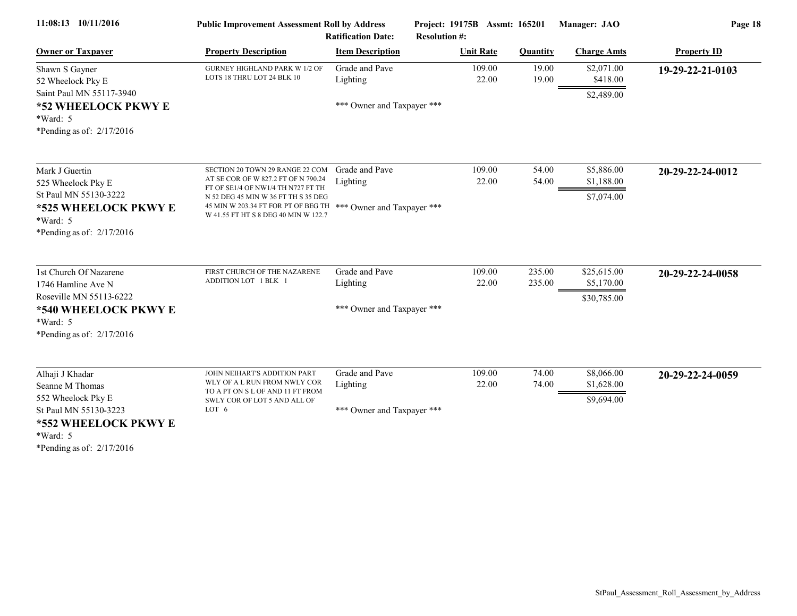| 11:08:13 10/11/2016                                                                          | <b>Public Improvement Assessment Roll by Address</b><br><b>Ratification Date:</b>                                                                   |                            | Project: 19175B Assmt: 165201<br><b>Resolution #:</b> |                  | Manager: JAO                           | Page 18            |  |
|----------------------------------------------------------------------------------------------|-----------------------------------------------------------------------------------------------------------------------------------------------------|----------------------------|-------------------------------------------------------|------------------|----------------------------------------|--------------------|--|
| <b>Owner or Taxpayer</b>                                                                     | <b>Property Description</b>                                                                                                                         | <b>Item Description</b>    | <b>Unit Rate</b>                                      | <b>Quantity</b>  | <b>Charge Amts</b>                     | <b>Property ID</b> |  |
| Shawn S Gayner<br>52 Wheelock Pky E                                                          | <b>GURNEY HIGHLAND PARK W 1/2 OF</b><br>LOTS 18 THRU LOT 24 BLK 10                                                                                  | Grade and Pave<br>Lighting | 109.00<br>22.00                                       | 19.00<br>19.00   | \$2,071.00<br>\$418.00                 | 19-29-22-21-0103   |  |
| Saint Paul MN 55117-3940<br>*52 WHEELOCK PKWY E<br>$*Ward: 5$<br>*Pending as of: $2/17/2016$ |                                                                                                                                                     | *** Owner and Taxpayer *** |                                                       |                  | \$2,489.00                             |                    |  |
| Mark J Guertin<br>525 Wheelock Pky E<br>St Paul MN 55130-3222                                | SECTION 20 TOWN 29 RANGE 22 COM<br>AT SE COR OF W 827.2 FT OF N 790.24<br>FT OF SE1/4 OF NW1/4 TH N727 FT TH<br>N 52 DEG 45 MIN W 36 FT TH S 35 DEG | Grade and Pave<br>Lighting | 109.00<br>22.00                                       | 54.00<br>54.00   | \$5,886.00<br>\$1,188.00<br>\$7,074.00 | 20-29-22-24-0012   |  |
| *525 WHEELOCK PKWY E<br>$*Ward: 5$<br>*Pending as of: $2/17/2016$                            | 45 MIN W 203.34 FT FOR PT OF BEG TH<br>W 41.55 FT HT S 8 DEG 40 MIN W 122.7                                                                         | *** Owner and Taxpayer *** |                                                       |                  |                                        |                    |  |
| 1st Church Of Nazarene<br>1746 Hamline Ave N                                                 | FIRST CHURCH OF THE NAZARENE<br>ADDITION LOT 1 BLK 1                                                                                                | Grade and Pave<br>Lighting | 109.00<br>22.00                                       | 235.00<br>235.00 | \$25,615.00<br>\$5,170.00              | 20-29-22-24-0058   |  |
| Roseville MN 55113-6222<br>*540 WHEELOCK PKWY E<br>$*Ward: 5$<br>*Pending as of: $2/17/2016$ |                                                                                                                                                     | *** Owner and Taxpayer *** |                                                       |                  | \$30,785.00                            |                    |  |
| Alhaji J Khadar<br>Seanne M Thomas                                                           | JOHN NEIHART'S ADDITION PART<br>WLY OF A L RUN FROM NWLY COR                                                                                        | Grade and Pave<br>Lighting | 109.00<br>22.00                                       | 74.00<br>74.00   | \$8,066.00<br>\$1,628.00               | 20-29-22-24-0059   |  |
| 552 Wheelock Pky E<br>St Paul MN 55130-3223<br>*552 WHEELOCK PKWY E                          | TO A PT ON S L OF AND 11 FT FROM<br>SWLY COR OF LOT 5 AND ALL OF<br>LOT 6                                                                           | *** Owner and Taxpayer *** |                                                       |                  | \$9,694.00                             |                    |  |
| *Ward: 5<br>*Pending as of: $2/17/2016$                                                      |                                                                                                                                                     |                            |                                                       |                  |                                        |                    |  |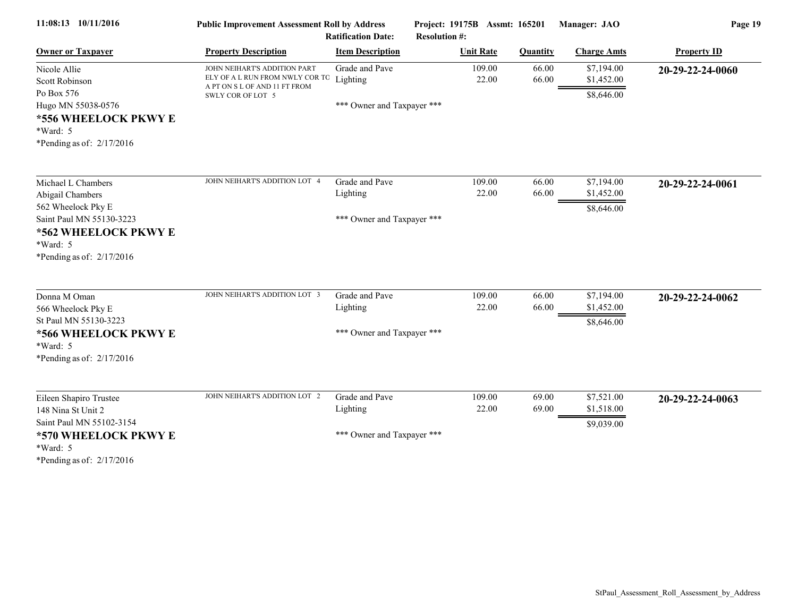| 11:08:13 10/11/2016                                                                                                                                         | <b>Public Improvement Assessment Roll by Address</b><br><b>Ratification Date:</b>                                     |                                                          | Project: 19175B Assmt: 165201<br><b>Resolution #:</b> |                 | Manager: JAO                           | Page 19            |  |
|-------------------------------------------------------------------------------------------------------------------------------------------------------------|-----------------------------------------------------------------------------------------------------------------------|----------------------------------------------------------|-------------------------------------------------------|-----------------|----------------------------------------|--------------------|--|
| <b>Owner or Taxpayer</b>                                                                                                                                    | <b>Property Description</b>                                                                                           | <b>Item Description</b>                                  | <b>Unit Rate</b>                                      | <b>Quantity</b> | <b>Charge Amts</b>                     | <b>Property ID</b> |  |
| Nicole Allie<br>Scott Robinson<br>Po Box 576<br>Hugo MN 55038-0576<br>*556 WHEELOCK PKWY E                                                                  | JOHN NEIHART'S ADDITION PART<br>ELY OF A L RUN FROM NWLY COR TO<br>A PT ON S L OF AND 11 FT FROM<br>SWLY COR OF LOT 5 | Grade and Pave<br>Lighting<br>*** Owner and Taxpayer *** | 109.00<br>22.00                                       | 66.00<br>66.00  | \$7,194.00<br>\$1,452.00<br>\$8,646.00 | 20-29-22-24-0060   |  |
| *Ward: 5<br>*Pending as of: $2/17/2016$                                                                                                                     |                                                                                                                       |                                                          |                                                       |                 |                                        |                    |  |
| Michael L Chambers<br>Abigail Chambers<br>562 Wheelock Pky E<br>Saint Paul MN 55130-3223<br>*562 WHEELOCK PKWY E<br>*Ward: 5<br>*Pending as of: $2/17/2016$ | JOHN NEIHART'S ADDITION LOT 4                                                                                         | Grade and Pave<br>Lighting<br>*** Owner and Taxpayer *** | 109.00<br>22.00                                       | 66.00<br>66.00  | \$7,194.00<br>\$1,452.00<br>\$8,646.00 | 20-29-22-24-0061   |  |
| Donna M Oman<br>566 Wheelock Pky E<br>St Paul MN 55130-3223<br>*566 WHEELOCK PKWY E<br>*Ward: 5<br>*Pending as of: $2/17/2016$                              | JOHN NEIHART'S ADDITION LOT 3                                                                                         | Grade and Pave<br>Lighting<br>*** Owner and Taxpayer *** | 109.00<br>22.00                                       | 66.00<br>66.00  | \$7,194.00<br>\$1,452.00<br>\$8,646.00 | 20-29-22-24-0062   |  |
| Eileen Shapiro Trustee<br>148 Nina St Unit 2<br>Saint Paul MN 55102-3154<br>*570 WHEELOCK PKWY E<br>$*Ward: 5$<br>*Pending as of: $2/17/2016$               | JOHN NEIHART'S ADDITION LOT 2                                                                                         | Grade and Pave<br>Lighting<br>*** Owner and Taxpayer *** | 109.00<br>22.00                                       | 69.00<br>69.00  | \$7,521.00<br>\$1,518.00<br>\$9,039.00 | 20-29-22-24-0063   |  |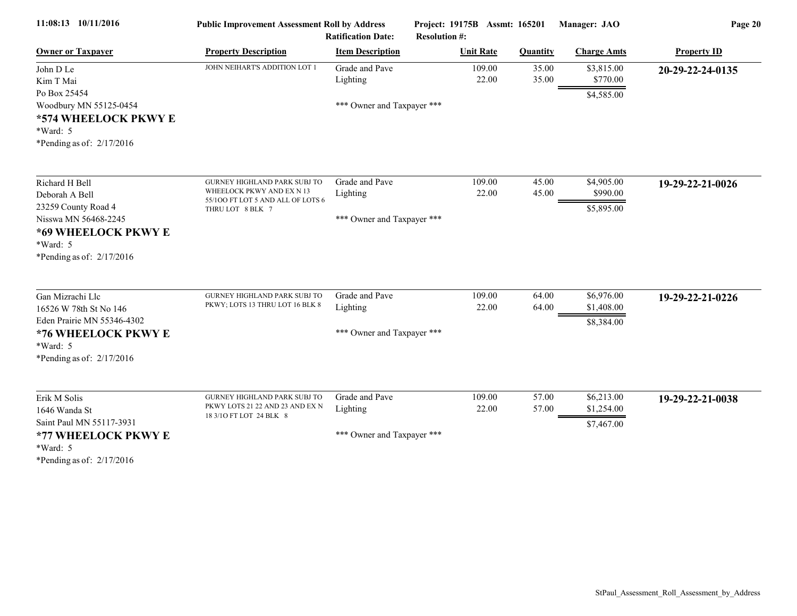| 11:08:13 10/11/2016                                                                                                                                                              | <b>Public Improvement Assessment Roll by Address</b><br><b>Ratification Date:</b>                                         |                                                          | Project: 19175B Assmt: 165201<br><b>Resolution #:</b> |                 | Manager: JAO                           | Page 20            |  |
|----------------------------------------------------------------------------------------------------------------------------------------------------------------------------------|---------------------------------------------------------------------------------------------------------------------------|----------------------------------------------------------|-------------------------------------------------------|-----------------|----------------------------------------|--------------------|--|
| <b>Owner or Taxpayer</b>                                                                                                                                                         | <b>Property Description</b>                                                                                               | <b>Item Description</b>                                  | <b>Unit Rate</b>                                      | <b>Quantity</b> | <b>Charge Amts</b>                     | <b>Property ID</b> |  |
| John D Le<br>Kim T Mai<br>Po Box 25454<br>Woodbury MN 55125-0454<br>*574 WHEELOCK PKWY E<br>$*Ward: 5$                                                                           | JOHN NEIHART'S ADDITION LOT 1                                                                                             | Grade and Pave<br>Lighting<br>*** Owner and Taxpayer *** | 109.00<br>22.00                                       | 35.00<br>35.00  | \$3,815.00<br>\$770.00<br>\$4,585.00   | 20-29-22-24-0135   |  |
| *Pending as of: $2/17/2016$<br>Richard H Bell<br>Deborah A Bell<br>23259 County Road 4<br>Nisswa MN 56468-2245<br>*69 WHEELOCK PKWY E<br>*Ward: 5<br>*Pending as of: $2/17/2016$ | <b>GURNEY HIGHLAND PARK SUBJ TO</b><br>WHEELOCK PKWY AND EX N 13<br>55/100 FT LOT 5 AND ALL OF LOTS 6<br>THRU LOT 8 BLK 7 | Grade and Pave<br>Lighting<br>*** Owner and Taxpayer *** | 109.00<br>22.00                                       | 45.00<br>45.00  | \$4,905.00<br>\$990.00<br>\$5,895.00   | 19-29-22-21-0026   |  |
| Gan Mizrachi Llc<br>16526 W 78th St No 146<br>Eden Prairie MN 55346-4302<br>*76 WHEELOCK PKWY E<br>*Ward: 5<br>*Pending as of: $2/17/2016$                                       | <b>GURNEY HIGHLAND PARK SUBJ TO</b><br>PKWY; LOTS 13 THRU LOT 16 BLK 8                                                    | Grade and Pave<br>Lighting<br>*** Owner and Taxpayer *** | 109.00<br>22.00                                       | 64.00<br>64.00  | \$6,976.00<br>\$1,408.00<br>\$8,384.00 | 19-29-22-21-0226   |  |
| Erik M Solis<br>1646 Wanda St<br>Saint Paul MN 55117-3931<br>*77 WHEELOCK PKWY E<br>*Ward: 5<br>*Pending as of: $2/17/2016$                                                      | GURNEY HIGHLAND PARK SUBJ TO<br>PKWY LOTS 21 22 AND 23 AND EX N<br>18 3/10 FT LOT 24 BLK 8                                | Grade and Pave<br>Lighting<br>*** Owner and Taxpayer *** | 109.00<br>22.00                                       | 57.00<br>57.00  | \$6,213.00<br>\$1,254.00<br>\$7,467.00 | 19-29-22-21-0038   |  |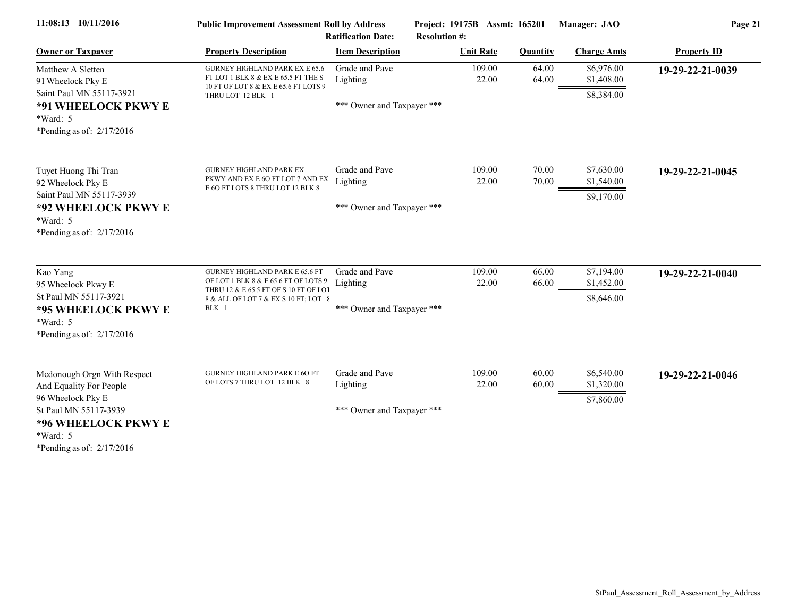| 11:08:13 10/11/2016                                                                                                                                                         | <b>Public Improvement Assessment Roll by Address</b><br><b>Ratification Date:</b>                                                                                       |                                                          | Project: 19175B Assmt: 165201<br><b>Resolution #:</b> |                 | Manager: JAO                           | Page 21            |  |
|-----------------------------------------------------------------------------------------------------------------------------------------------------------------------------|-------------------------------------------------------------------------------------------------------------------------------------------------------------------------|----------------------------------------------------------|-------------------------------------------------------|-----------------|----------------------------------------|--------------------|--|
| <b>Owner or Taxpayer</b>                                                                                                                                                    | <b>Property Description</b>                                                                                                                                             | <b>Item Description</b>                                  | <b>Unit Rate</b>                                      | <b>Quantity</b> | <b>Charge Amts</b>                     | <b>Property ID</b> |  |
| Matthew A Sletten<br>91 Wheelock Pky E<br>Saint Paul MN 55117-3921<br>*91 WHEELOCK PKWY E<br>$*Ward: 5$<br>*Pending as of: $2/17/2016$                                      | <b>GURNEY HIGHLAND PARK EX E 65.6</b><br>FT LOT 1 BLK 8 & EX E 65.5 FT THE S<br>10 FT OF LOT 8 & EX E 65.6 FT LOTS 9<br>THRU LOT 12 BLK 1                               | Grade and Pave<br>Lighting<br>*** Owner and Taxpayer *** | 109.00<br>22.00                                       | 64.00<br>64.00  | \$6,976.00<br>\$1,408.00<br>\$8,384.00 | 19-29-22-21-0039   |  |
| Tuyet Huong Thi Tran<br>92 Wheelock Pky E<br>Saint Paul MN 55117-3939<br>*92 WHEELOCK PKWY E<br>$*Ward: 5$<br>*Pending as of: $2/17/2016$                                   | <b>GURNEY HIGHLAND PARK EX</b><br>PKWY AND EX E 6O FT LOT 7 AND EX<br>E 6O FT LOTS 8 THRU LOT 12 BLK 8                                                                  | Grade and Pave<br>Lighting<br>*** Owner and Taxpayer *** | 109.00<br>22.00                                       | 70.00<br>70.00  | \$7,630.00<br>\$1,540.00<br>\$9,170.00 | 19-29-22-21-0045   |  |
| Kao Yang<br>95 Wheelock Pkwy E<br>St Paul MN 55117-3921<br>*95 WHEELOCK PKWY E<br>*Ward: 5<br>*Pending as of: $2/17/2016$                                                   | <b>GURNEY HIGHLAND PARK E 65.6 FT</b><br>OF LOT 1 BLK 8 & E 65.6 FT OF LOTS 9<br>THRU 12 & E 65.5 FT OF S 10 FT OF LOT<br>8 & ALL OF LOT 7 & EX S 10 FT; LOT 8<br>BLK 1 | Grade and Pave<br>Lighting<br>*** Owner and Taxpayer *** | 109.00<br>22.00                                       | 66.00<br>66.00  | \$7,194.00<br>\$1,452.00<br>\$8,646.00 | 19-29-22-21-0040   |  |
| Mcdonough Orgn With Respect<br>And Equality For People<br>96 Wheelock Pky E<br>St Paul MN 55117-3939<br>*96 WHEELOCK PKWY E<br>*Ward: 5<br>*Pending as of $\cdot$ 2/17/2016 | <b>GURNEY HIGHLAND PARK E 60 FT</b><br>OF LOTS 7 THRU LOT 12 BLK 8                                                                                                      | Grade and Pave<br>Lighting<br>*** Owner and Taxpayer *** | 109.00<br>22.00                                       | 60.00<br>60.00  | \$6,540.00<br>\$1,320.00<br>\$7,860.00 | 19-29-22-21-0046   |  |

\*Pending as of: 2/17/2016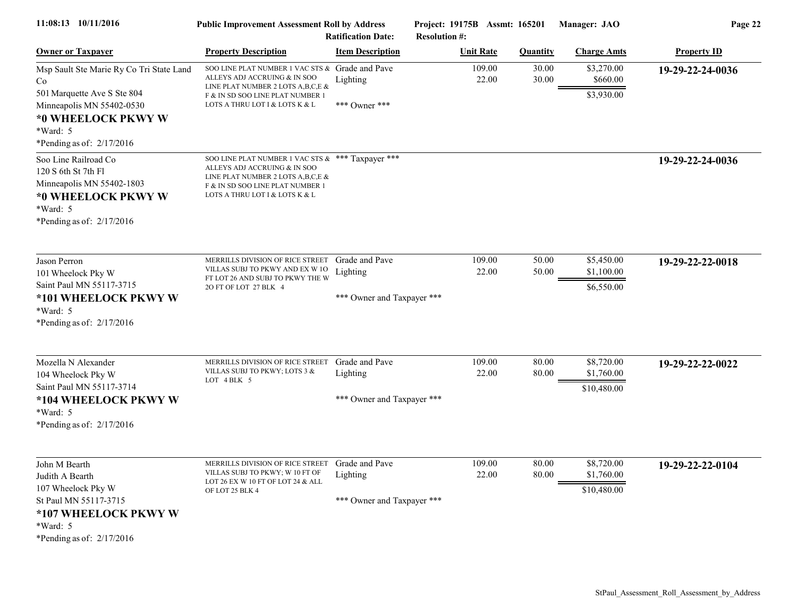| 11:08:13 10/11/2016                                                                                                                                  | <b>Public Improvement Assessment Roll by Address</b>                                                                                                                                            | <b>Ratification Date:</b>                                | Project: 19175B Assmt: 165201<br><b>Resolution #:</b> |                 |                 | Manager: JAO                            | Page 22            |
|------------------------------------------------------------------------------------------------------------------------------------------------------|-------------------------------------------------------------------------------------------------------------------------------------------------------------------------------------------------|----------------------------------------------------------|-------------------------------------------------------|-----------------|-----------------|-----------------------------------------|--------------------|
| <b>Owner or Taxpayer</b>                                                                                                                             | <b>Property Description</b>                                                                                                                                                                     | <b>Item Description</b>                                  | <b>Unit Rate</b>                                      |                 | <b>Quantity</b> | <b>Charge Amts</b>                      | <b>Property ID</b> |
| Msp Sault Ste Marie Ry Co Tri State Land<br>Co                                                                                                       | SOO LINE PLAT NUMBER 1 VAC STS & Grade and Pave<br>ALLEYS ADJ ACCRUING & IN SOO<br>LINE PLAT NUMBER 2 LOTS A, B, C, E &                                                                         | Lighting                                                 |                                                       | 109.00<br>22.00 | 30.00<br>30.00  | \$3,270.00<br>\$660.00                  | 19-29-22-24-0036   |
| 501 Marquette Ave S Ste 804<br>Minneapolis MN 55402-0530<br>*0 WHEELOCK PKWY W<br>*Ward: 5<br>*Pending as of: $2/17/2016$                            | F & IN SD SOO LINE PLAT NUMBER 1<br>LOTS A THRU LOT I & LOTS K & L                                                                                                                              | *** Owner ***                                            |                                                       |                 |                 | \$3,930.00                              |                    |
| Soo Line Railroad Co<br>120 S 6th St 7th F1<br>Minneapolis MN 55402-1803<br>*0 WHEELOCK PKWY W<br>*Ward: 5<br>*Pending as of: $2/17/2016$            | SOO LINE PLAT NUMBER 1 VAC STS & *** Taxpayer ***<br>ALLEYS ADJ ACCRUING & IN SOO<br>LINE PLAT NUMBER 2 LOTS A, B, C, E &<br>F & IN SD SOO LINE PLAT NUMBER 1<br>LOTS A THRU LOT I & LOTS K & L |                                                          |                                                       |                 |                 |                                         | 19-29-22-24-0036   |
| Jason Perron<br>101 Wheelock Pky W<br>Saint Paul MN 55117-3715<br>*101 WHEELOCK PKWY W<br>$*Ward: 5$<br>*Pending as of: $2/17/2016$                  | MERRILLS DIVISION OF RICE STREET<br>VILLAS SUBJ TO PKWY AND EX W 10<br>FT LOT 26 AND SUBJ TO PKWY THE W<br>2O FT OF LOT 27 BLK 4                                                                | Grade and Pave<br>Lighting<br>*** Owner and Taxpayer *** |                                                       | 109.00<br>22.00 | 50.00<br>50.00  | \$5,450.00<br>\$1,100.00<br>\$6,550.00  | 19-29-22-22-0018   |
| Mozella N Alexander<br>104 Wheelock Pky W<br>Saint Paul MN 55117-3714<br>*104 WHEELOCK PKWY W<br>*Ward: 5<br>*Pending as of: $2/17/2016$             | MERRILLS DIVISION OF RICE STREET<br>VILLAS SUBJ TO PKWY; LOTS 3 &<br>LOT 4 BLK 5                                                                                                                | Grade and Pave<br>Lighting<br>*** Owner and Taxpayer *** |                                                       | 109.00<br>22.00 | 80.00<br>80.00  | \$8,720.00<br>\$1,760.00<br>\$10,480.00 | 19-29-22-22-0022   |
| John M Bearth<br>Judith A Bearth<br>107 Wheelock Pky W<br>St Paul MN 55117-3715<br>*107 WHEELOCK PKWY W<br>$*Ward: 5$<br>*Pending as of: $2/17/2016$ | MERRILLS DIVISION OF RICE STREET Grade and Pave<br>VILLAS SUBJ TO PKWY; W 10 FT OF<br>LOT 26 EX W 10 FT OF LOT 24 & ALL<br>OF LOT 25 BLK 4                                                      | Lighting<br>*** Owner and Taxpayer ***                   |                                                       | 109.00<br>22.00 | 80.00<br>80.00  | \$8,720.00<br>\$1,760.00<br>\$10,480.00 | 19-29-22-22-0104   |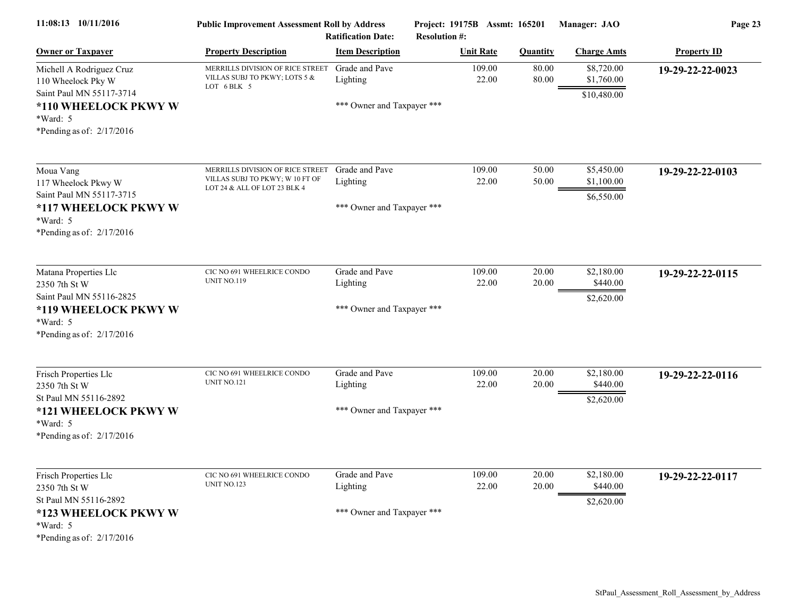| 11:08:13 10/11/2016                                                                                                                           | <b>Public Improvement Assessment Roll by Address</b>                                                | <b>Ratification Date:</b>                                | Project: 19175B Assmt: 165201<br><b>Resolution #:</b> |                 | Manager: JAO                            | Page 23            |
|-----------------------------------------------------------------------------------------------------------------------------------------------|-----------------------------------------------------------------------------------------------------|----------------------------------------------------------|-------------------------------------------------------|-----------------|-----------------------------------------|--------------------|
| <b>Owner or Taxpayer</b>                                                                                                                      | <b>Property Description</b>                                                                         | <b>Item Description</b>                                  | <b>Unit Rate</b>                                      | <b>Quantity</b> | <b>Charge Amts</b>                      | <b>Property ID</b> |
| Michell A Rodriguez Cruz<br>110 Wheelock Pky W<br>Saint Paul MN 55117-3714<br>*110 WHEELOCK PKWY W<br>*Ward: 5<br>*Pending as of: $2/17/2016$ | MERRILLS DIVISION OF RICE STREET<br>VILLAS SUBJ TO PKWY; LOTS 5 &<br>LOT 6 BLK 5                    | Grade and Pave<br>Lighting<br>*** Owner and Taxpayer *** | 109.00<br>22.00                                       | 80.00<br>80.00  | \$8,720.00<br>\$1,760.00<br>\$10,480.00 | 19-29-22-22-0023   |
| Moua Vang<br>117 Wheelock Pkwy W<br>Saint Paul MN 55117-3715<br>*117 WHEELOCK PKWY W<br>*Ward: 5<br>*Pending as of: $2/17/2016$               | MERRILLS DIVISION OF RICE STREET<br>VILLAS SUBJ TO PKWY; W 10 FT OF<br>LOT 24 & ALL OF LOT 23 BLK 4 | Grade and Pave<br>Lighting<br>*** Owner and Taxpayer *** | 109.00<br>22.00                                       | 50.00<br>50.00  | \$5,450.00<br>\$1,100.00<br>\$6,550.00  | 19-29-22-22-0103   |
| Matana Properties Llc<br>2350 7th St W<br>Saint Paul MN 55116-2825<br>*119 WHEELOCK PKWY W<br>*Ward: 5<br>*Pending as of: 2/17/2016           | CIC NO 691 WHEELRICE CONDO<br><b>UNIT NO.119</b>                                                    | Grade and Pave<br>Lighting<br>*** Owner and Taxpayer *** | 109.00<br>22.00                                       | 20.00<br>20.00  | \$2,180.00<br>\$440.00<br>\$2,620.00    | 19-29-22-22-0115   |
| Frisch Properties Llc<br>2350 7th St W<br>St Paul MN 55116-2892<br>*121 WHEELOCK PKWY W<br>$*Ward: 5$<br>*Pending as of: $2/17/2016$          | CIC NO 691 WHEELRICE CONDO<br><b>UNIT NO.121</b>                                                    | Grade and Pave<br>Lighting<br>*** Owner and Taxpayer *** | 109.00<br>22.00                                       | 20.00<br>20.00  | \$2,180.00<br>\$440.00<br>\$2,620.00    | 19-29-22-22-0116   |
| Frisch Properties Llc<br>2350 7th St W<br>St Paul MN 55116-2892<br>*123 WHEELOCK PKWY W<br>$*Ward: 5$<br>*Pending as of: 2/17/2016            | CIC NO 691 WHEELRICE CONDO<br><b>UNIT NO.123</b>                                                    | Grade and Pave<br>Lighting<br>*** Owner and Taxpayer *** | 109.00<br>22.00                                       | 20.00<br>20.00  | \$2,180.00<br>\$440.00<br>\$2,620.00    | 19-29-22-22-0117   |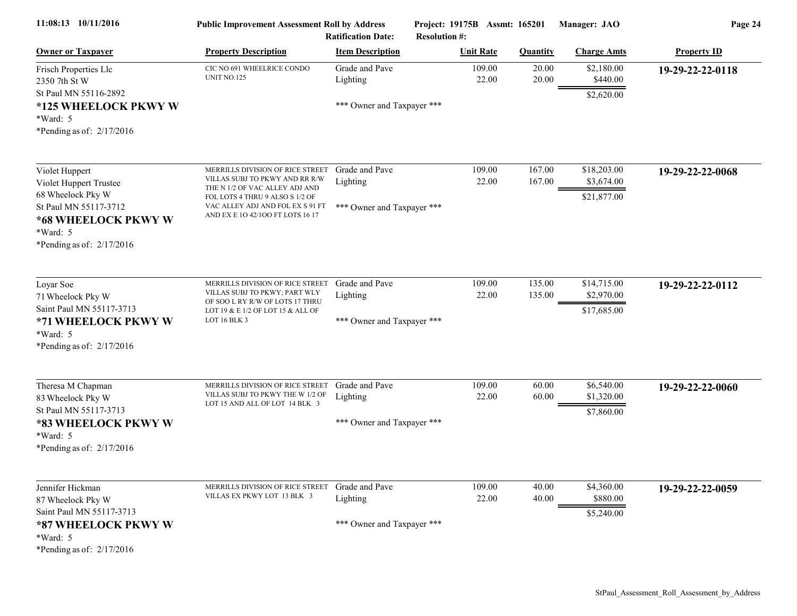| 11:08:13 10/11/2016                                                                                                                                      | <b>Public Improvement Assessment Roll by Address</b><br><b>Ratification Date:</b>                                                                                                                               |                                                          | Project: 19175B Assmt: 165201<br><b>Resolution #:</b> |                  | Manager: JAO                             | Page 24            |  |
|----------------------------------------------------------------------------------------------------------------------------------------------------------|-----------------------------------------------------------------------------------------------------------------------------------------------------------------------------------------------------------------|----------------------------------------------------------|-------------------------------------------------------|------------------|------------------------------------------|--------------------|--|
| <b>Owner or Taxpayer</b>                                                                                                                                 | <b>Property Description</b>                                                                                                                                                                                     | <b>Item Description</b>                                  | <b>Unit Rate</b>                                      | <b>Quantity</b>  | <b>Charge Amts</b>                       | <b>Property ID</b> |  |
| Frisch Properties Llc<br>2350 7th St W<br>St Paul MN 55116-2892<br>*125 WHEELOCK PKWY W<br>$*Ward: 5$<br>*Pending as of: $2/17/2016$                     | CIC NO 691 WHEELRICE CONDO<br><b>UNIT NO.125</b>                                                                                                                                                                | Grade and Pave<br>Lighting<br>*** Owner and Taxpayer *** | 109.00<br>22.00                                       | 20.00<br>20.00   | \$2,180.00<br>\$440.00<br>\$2,620.00     | 19-29-22-22-0118   |  |
| Violet Huppert<br>Violet Huppert Trustee<br>68 Wheelock Pky W<br>St Paul MN 55117-3712<br>*68 WHEELOCK PKWY W<br>*Ward: 5<br>*Pending as of: $2/17/2016$ | MERRILLS DIVISION OF RICE STREET<br>VILLAS SUBJ TO PKWY AND RR R/W<br>THE N 1/2 OF VAC ALLEY ADJ AND<br>FOL LOTS 4 THRU 9 ALSO S 1/2 OF<br>VAC ALLEY ADJ AND FOL EX S 91 FT<br>AND EX E 10 42/100 FT LOTS 16 17 | Grade and Pave<br>Lighting<br>*** Owner and Taxpayer *** | 109.00<br>22.00                                       | 167.00<br>167.00 | \$18,203.00<br>\$3,674.00<br>\$21,877.00 | 19-29-22-22-0068   |  |
| Loyar Soe<br>71 Wheelock Pky W<br>Saint Paul MN 55117-3713<br>*71 WHEELOCK PKWY W<br>*Ward: 5<br>*Pending as of: $2/17/2016$                             | MERRILLS DIVISION OF RICE STREET<br>VILLAS SUBJ TO PKWY; PART WLY<br>OF SOO L RY R/W OF LOTS 17 THRU<br>LOT 19 & E 1/2 OF LOT 15 & ALL OF<br>LOT 16 BLK 3                                                       | Grade and Pave<br>Lighting<br>*** Owner and Taxpayer *** | 109.00<br>22.00                                       | 135.00<br>135.00 | \$14,715.00<br>\$2,970.00<br>\$17,685.00 | 19-29-22-22-0112   |  |
| Theresa M Chapman<br>83 Wheelock Pky W<br>St Paul MN 55117-3713<br>*83 WHEELOCK PKWY W<br>*Ward: 5<br>*Pending as of: 2/17/2016                          | MERRILLS DIVISION OF RICE STREET<br>VILLAS SUBJ TO PKWY THE W 1/2 OF<br>LOT 15 AND ALL OF LOT 14 BLK 3                                                                                                          | Grade and Pave<br>Lighting<br>*** Owner and Taxpayer *** | 109.00<br>22.00                                       | 60.00<br>60.00   | \$6,540.00<br>\$1,320.00<br>\$7,860.00   | 19-29-22-22-0060   |  |
| Jennifer Hickman<br>87 Wheelock Pky W<br>Saint Paul MN 55117-3713<br>*87 WHEELOCK PKWY W<br>$*Ward: 5$<br>*Pending as of: 2/17/2016                      | MERRILLS DIVISION OF RICE STREET<br>VILLAS EX PKWY LOT 13 BLK 3                                                                                                                                                 | Grade and Pave<br>Lighting<br>*** Owner and Taxpayer *** | 109.00<br>22.00                                       | 40.00<br>40.00   | \$4,360.00<br>\$880.00<br>\$5,240.00     | 19-29-22-22-0059   |  |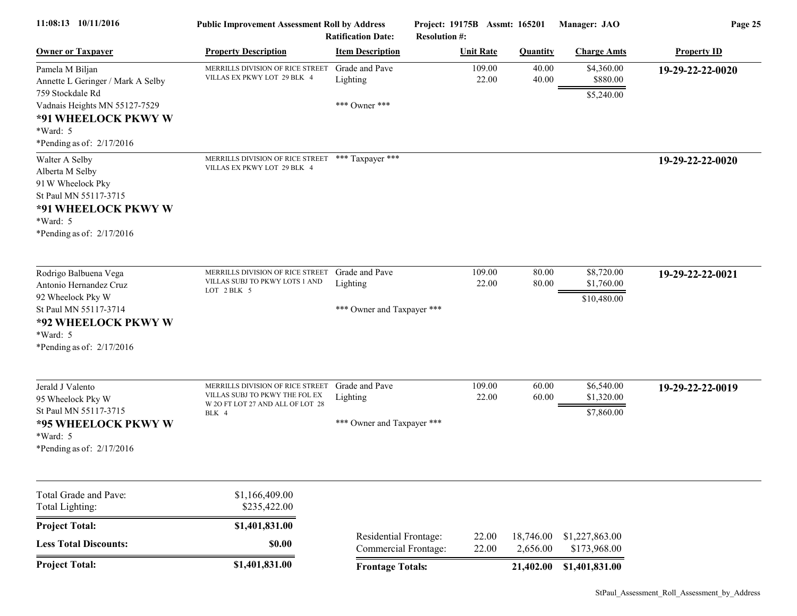| 11:08:13 10/11/2016                                                                                                                                                           | <b>Public Improvement Assessment Roll by Address</b><br><b>Ratification Date:</b>                               |                                                          | Project: 19175B Assmt: 165201<br><b>Resolution #:</b> |                       | Manager: JAO                            | Page 25            |  |
|-------------------------------------------------------------------------------------------------------------------------------------------------------------------------------|-----------------------------------------------------------------------------------------------------------------|----------------------------------------------------------|-------------------------------------------------------|-----------------------|-----------------------------------------|--------------------|--|
| <b>Owner or Taxpayer</b>                                                                                                                                                      | <b>Property Description</b>                                                                                     | <b>Item Description</b>                                  | <b>Unit Rate</b>                                      | <b>Quantity</b>       | <b>Charge Amts</b>                      | <b>Property ID</b> |  |
| Pamela M Biljan<br>Annette L Geringer / Mark A Selby<br>759 Stockdale Rd<br>Vadnais Heights MN 55127-7529<br>*91 WHEELOCK PKWY W<br>$*Ward: 5$<br>*Pending as of: $2/17/2016$ | MERRILLS DIVISION OF RICE STREET<br>VILLAS EX PKWY LOT 29 BLK 4                                                 | Grade and Pave<br>Lighting<br>*** Owner ***              | 109.00<br>22.00                                       | 40.00<br>40.00        | \$4,360.00<br>\$880.00<br>\$5,240.00    | 19-29-22-22-0020   |  |
| Walter A Selby<br>Alberta M Selby<br>91 W Wheelock Pky<br>St Paul MN 55117-3715<br>*91 WHEELOCK PKWY W<br>$*Ward: 5$<br>*Pending as of: $2/17/2016$                           | MERRILLS DIVISION OF RICE STREET *** Taxpayer ***<br>VILLAS EX PKWY LOT 29 BLK 4                                |                                                          |                                                       |                       |                                         | 19-29-22-22-0020   |  |
| Rodrigo Balbuena Vega<br>Antonio Hernandez Cruz<br>92 Wheelock Pky W<br>St Paul MN 55117-3714<br>*92 WHEELOCK PKWY W<br>*Ward: 5<br>*Pending as of: $2/17/2016$               | MERRILLS DIVISION OF RICE STREET<br>VILLAS SUBJ TO PKWY LOTS 1 AND<br>LOT 2 BLK 5                               | Grade and Pave<br>Lighting<br>*** Owner and Taxpayer *** | 109.00<br>22.00                                       | 80.00<br>80.00        | \$8,720.00<br>\$1,760.00<br>\$10,480.00 | 19-29-22-22-0021   |  |
| Jerald J Valento<br>95 Wheelock Pky W<br>St Paul MN 55117-3715<br>*95 WHEELOCK PKWY W<br>*Ward: 5<br>*Pending as of: 2/17/2016                                                | MERRILLS DIVISION OF RICE STREET<br>VILLAS SUBJ TO PKWY THE FOL EX<br>W 2O FT LOT 27 AND ALL OF LOT 28<br>BLK 4 | Grade and Pave<br>Lighting<br>*** Owner and Taxpayer *** | 109.00<br>22.00                                       | 60.00<br>60.00        | \$6,540.00<br>\$1,320.00<br>\$7,860.00  | 19-29-22-22-0019   |  |
| Total Grade and Pave:<br>Total Lighting:                                                                                                                                      | \$1,166,409.00<br>\$235,422.00                                                                                  |                                                          |                                                       |                       |                                         |                    |  |
| <b>Project Total:</b>                                                                                                                                                         | \$1,401,831.00                                                                                                  |                                                          |                                                       |                       |                                         |                    |  |
| <b>Less Total Discounts:</b>                                                                                                                                                  | \$0.00                                                                                                          | Residential Frontage:<br>Commercial Frontage:            | 22.00<br>22.00                                        | 18,746.00<br>2,656.00 | \$1,227,863.00<br>\$173,968.00          |                    |  |
| <b>Project Total:</b>                                                                                                                                                         | \$1,401,831.00                                                                                                  | <b>Frontage Totals:</b>                                  |                                                       | 21,402.00             | \$1,401,831.00                          |                    |  |